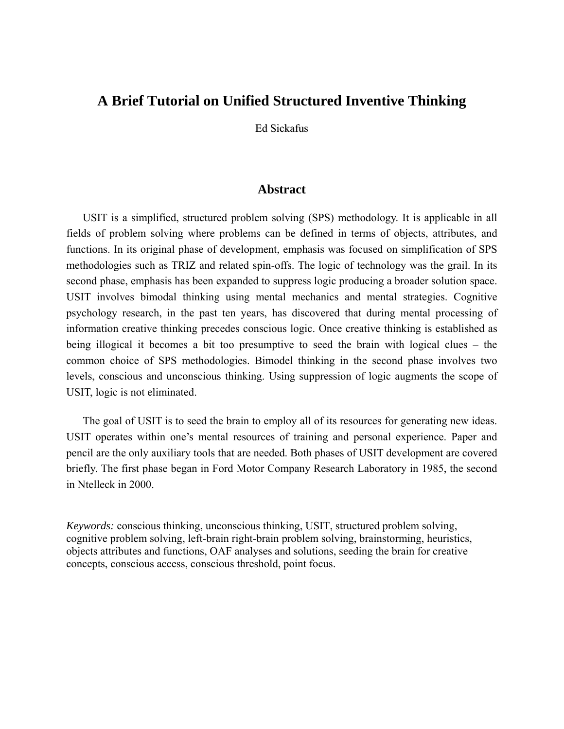# **A Brief Tutorial on Unified Structured Inventive Thinking**

Ed Sickafus

# **Abstract**

USIT is a simplified, structured problem solving (SPS) methodology. It is applicable in all fields of problem solving where problems can be defined in terms of objects, attributes, and functions. In its original phase of development, emphasis was focused on simplification of SPS methodologies such as TRIZ and related spin-offs. The logic of technology was the grail. In its second phase, emphasis has been expanded to suppress logic producing a broader solution space. USIT involves bimodal thinking using mental mechanics and mental strategies. Cognitive psychology research, in the past ten years, has discovered that during mental processing of information creative thinking precedes conscious logic. Once creative thinking is established as being illogical it becomes a bit too presumptive to seed the brain with logical clues – the common choice of SPS methodologies. Bimodel thinking in the second phase involves two levels, conscious and unconscious thinking. Using suppression of logic augments the scope of USIT, logic is not eliminated.

The goal of USIT is to seed the brain to employ all of its resources for generating new ideas. USIT operates within one's mental resources of training and personal experience. Paper and pencil are the only auxiliary tools that are needed. Both phases of USIT development are covered briefly. The first phase began in Ford Motor Company Research Laboratory in 1985, the second in Ntelleck in 2000.

*Keywords:* conscious thinking, unconscious thinking, USIT, structured problem solving, cognitive problem solving, left-brain right-brain problem solving, brainstorming, heuristics, objects attributes and functions, OAF analyses and solutions, seeding the brain for creative concepts, conscious access, conscious threshold, point focus.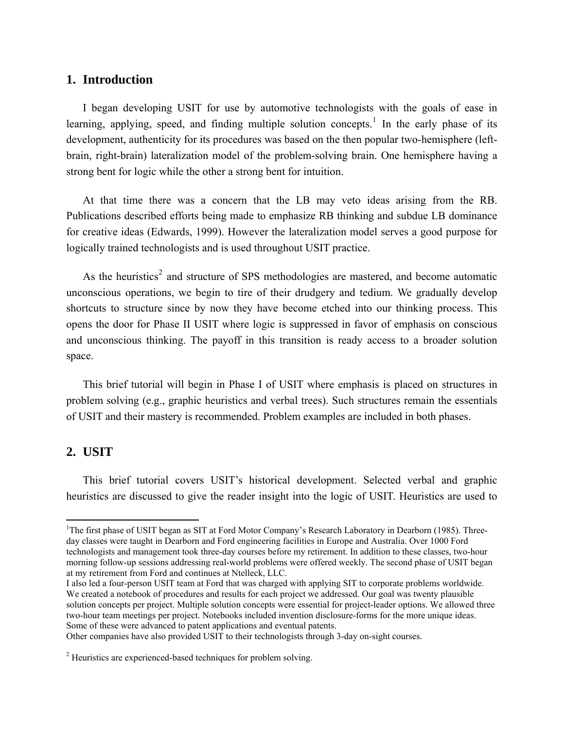# **1. Introduction**

I began developing USIT for use by automotive technologists with the goals of ease in learning, applying, speed, and finding multiple solution concepts.<sup>[1](#page-1-0)</sup> In the early phase of its development, authenticity for its procedures was based on the then popular two-hemisphere (leftbrain, right-brain) lateralization model of the problem-solving brain. One hemisphere having a strong bent for logic while the other a strong bent for intuition.

At that time there was a concern that the LB may veto ideas arising from the RB. Publications described efforts being made to emphasize RB thinking and subdue LB dominance for creative ideas (Edwards, 1999). However the lateralization model serves a good purpose for logically trained technologists and is used throughout USIT practice.

As the heuristics<sup>[2](#page-1-1)</sup> and structure of SPS methodologies are mastered, and become automatic unconscious operations, we begin to tire of their drudgery and tedium. We gradually develop shortcuts to structure since by now they have become etched into our thinking process. This opens the door for Phase II USIT where logic is suppressed in favor of emphasis on conscious and unconscious thinking. The payoff in this transition is ready access to a broader solution space.

This brief tutorial will begin in Phase I of USIT where emphasis is placed on structures in problem solving (e.g., graphic heuristics and verbal trees). Such structures remain the essentials of USIT and their mastery is recommended. Problem examples are included in both phases.

# **2. USIT**

 $\overline{a}$ 

This brief tutorial covers USIT's historical development. Selected verbal and graphic heuristics are discussed to give the reader insight into the logic of USIT. Heuristics are used to

Other companies have also provided USIT to their technologists through 3-day on-sight courses.

<span id="page-1-0"></span><sup>&</sup>lt;sup>1</sup>The first phase of USIT began as SIT at Ford Motor Company's Research Laboratory in Dearborn (1985). Threeday classes were taught in Dearborn and Ford engineering facilities in Europe and Australia. Over 1000 Ford technologists and management took three-day courses before my retirement. In addition to these classes, two-hour morning follow-up sessions addressing real-world problems were offered weekly. The second phase of USIT began at my retirement from Ford and continues at Ntelleck, LLC.

I also led a four-person USIT team at Ford that was charged with applying SIT to corporate problems worldwide. We created a notebook of procedures and results for each project we addressed. Our goal was twenty plausible solution concepts per project. Multiple solution concepts were essential for project-leader options. We allowed three two-hour team meetings per project. Notebooks included invention disclosure-forms for the more unique ideas. Some of these were advanced to patent applications and eventual patents.

<span id="page-1-1"></span> $2$ <sup>2</sup> Heuristics are experienced-based techniques for problem solving.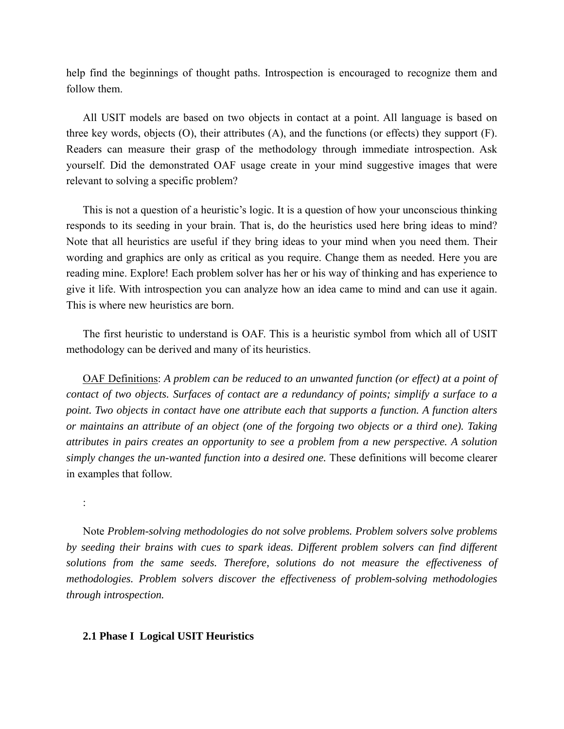help find the beginnings of thought paths. Introspection is encouraged to recognize them and follow them.

All USIT models are based on two objects in contact at a point. All language is based on three key words, objects  $(O)$ , their attributes  $(A)$ , and the functions (or effects) they support  $(F)$ . Readers can measure their grasp of the methodology through immediate introspection. Ask yourself. Did the demonstrated OAF usage create in your mind suggestive images that were relevant to solving a specific problem?

This is not a question of a heuristic's logic. It is a question of how your unconscious thinking responds to its seeding in your brain. That is, do the heuristics used here bring ideas to mind? Note that all heuristics are useful if they bring ideas to your mind when you need them. Their wording and graphics are only as critical as you require. Change them as needed. Here you are reading mine. Explore! Each problem solver has her or his way of thinking and has experience to give it life. With introspection you can analyze how an idea came to mind and can use it again. This is where new heuristics are born.

The first heuristic to understand is OAF. This is a heuristic symbol from which all of USIT methodology can be derived and many of its heuristics.

OAF Definitions: *A problem can be reduced to an unwanted function (or effect) at a point of contact of two objects. Surfaces of contact are a redundancy of points; simplify a surface to a point. Two objects in contact have one attribute each that supports a function. A function alters or maintains an attribute of an object (one of the forgoing two objects or a third one). Taking attributes in pairs creates an opportunity to see a problem from a new perspective. A solution simply changes the un-wanted function into a desired one.* These definitions will become clearer in examples that follow.

:

Note *Problem-solving methodologies do not solve problems. Problem solvers solve problems by seeding their brains with cues to spark ideas. Different problem solvers can find different solutions from the same seeds. Therefore, solutions do not measure the effectiveness of methodologies. Problem solvers discover the effectiveness of problem-solving methodologies through introspection.* 

#### **2.1 Phase I Logical USIT Heuristics**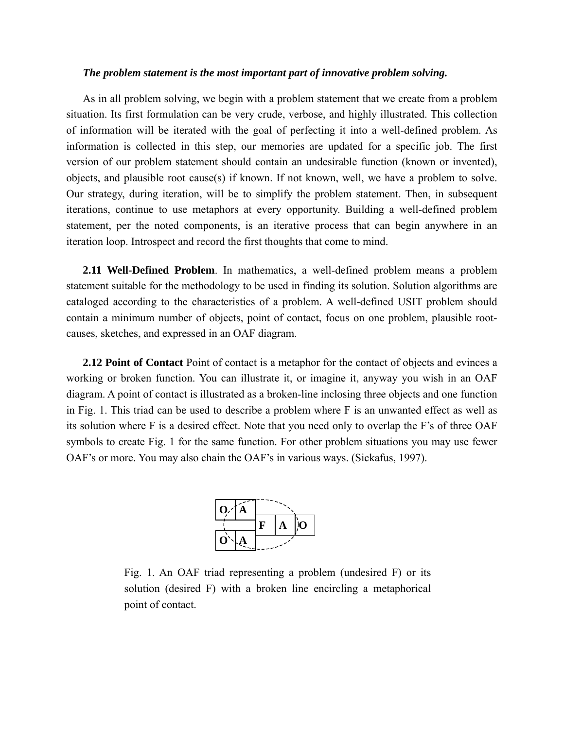### *The problem statement is the most important part of innovative problem solving.*

As in all problem solving, we begin with a problem statement that we create from a problem situation. Its first formulation can be very crude, verbose, and highly illustrated. This collection of information will be iterated with the goal of perfecting it into a well-defined problem. As information is collected in this step, our memories are updated for a specific job. The first version of our problem statement should contain an undesirable function (known or invented), objects, and plausible root cause(s) if known. If not known, well, we have a problem to solve. Our strategy, during iteration, will be to simplify the problem statement. Then, in subsequent iterations, continue to use metaphors at every opportunity. Building a well-defined problem statement, per the noted components, is an iterative process that can begin anywhere in an iteration loop. Introspect and record the first thoughts that come to mind.

**2.11 Well-Defined Problem**. In mathematics, a well-defined problem means a problem statement suitable for the methodology to be used in finding its solution. Solution algorithms are cataloged according to the characteristics of a problem. A well-defined USIT problem should contain a minimum number of objects, point of contact, focus on one problem, plausible rootcauses, sketches, and expressed in an OAF diagram.

**2.12 Point of Contact** Point of contact is a metaphor for the contact of objects and evinces a working or broken function. You can illustrate it, or imagine it, anyway you wish in an OAF diagram. A point of contact is illustrated as a broken-line inclosing three objects and one function in Fig. 1. This triad can be used to describe a problem where F is an unwanted effect as well as its solution where F is a desired effect. Note that you need only to overlap the F's of three OAF symbols to create Fig. 1 for the same function. For other problem situations you may use fewer OAF's or more. You may also chain the OAF's in various ways. (Sickafus, 1997).



Fig. 1. An OAF triad representing a problem (undesired F) or its solution (desired F) with a broken line encircling a metaphorical point of contact.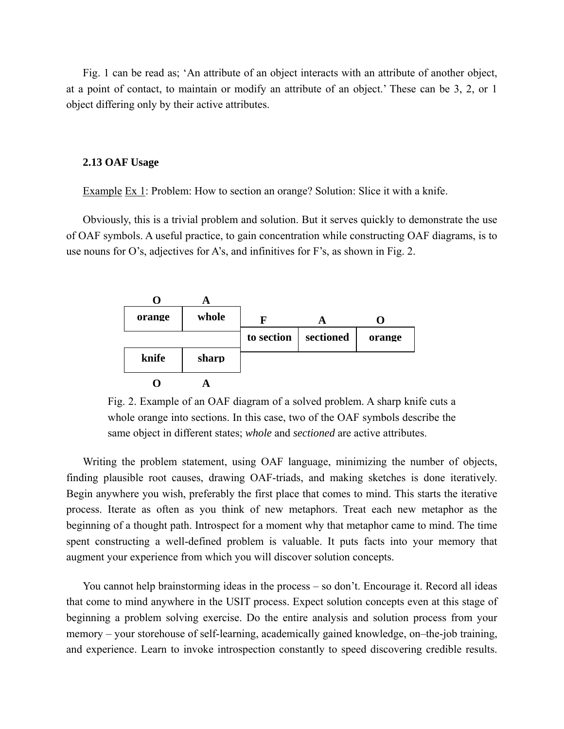Fig. 1 can be read as; 'An attribute of an object interacts with an attribute of another object, at a point of contact, to maintain or modify an attribute of an object.' These can be 3, 2, or 1 object differing only by their active attributes.

#### **2.13 OAF Usage**

Example Ex 1: Problem: How to section an orange? Solution: Slice it with a knife.

Obviously, this is a trivial problem and solution. But it serves quickly to demonstrate the use of OAF symbols. A useful practice, to gain concentration while constructing OAF diagrams, is to use nouns for O's, adjectives for A's, and infinitives for F's, as shown in Fig. 2.



Fig. 2. Example of an OAF diagram of a solved problem. A sharp knife cuts a whole orange into sections. In this case, two of the OAF symbols describe the same object in different states; *whole* and *sectioned* are active attributes.

Writing the problem statement, using OAF language, minimizing the number of objects, finding plausible root causes, drawing OAF-triads, and making sketches is done iteratively. Begin anywhere you wish, preferably the first place that comes to mind. This starts the iterative process. Iterate as often as you think of new metaphors. Treat each new metaphor as the beginning of a thought path. Introspect for a moment why that metaphor came to mind. The time spent constructing a well-defined problem is valuable. It puts facts into your memory that augment your experience from which you will discover solution concepts.

You cannot help brainstorming ideas in the process – so don't. Encourage it. Record all ideas that come to mind anywhere in the USIT process. Expect solution concepts even at this stage of beginning a problem solving exercise. Do the entire analysis and solution process from your memory – your storehouse of self-learning, academically gained knowledge, on–the-job training, and experience. Learn to invoke introspection constantly to speed discovering credible results.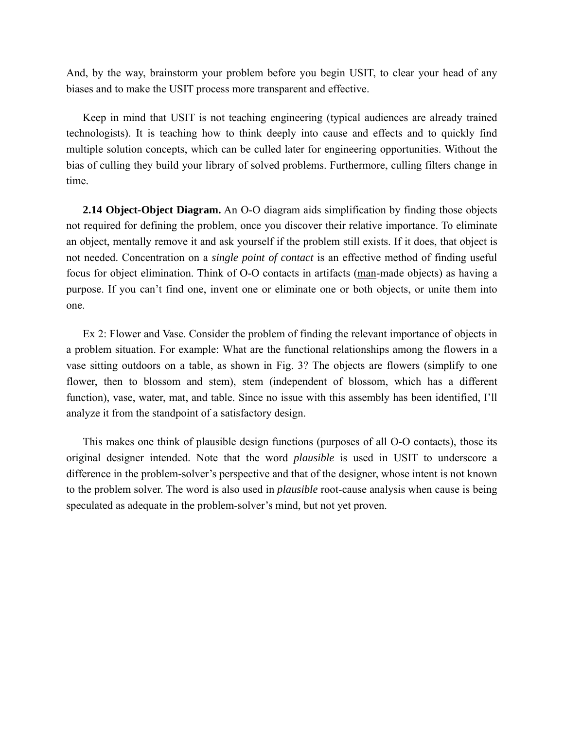And, by the way, brainstorm your problem before you begin USIT, to clear your head of any biases and to make the USIT process more transparent and effective.

Keep in mind that USIT is not teaching engineering (typical audiences are already trained technologists). It is teaching how to think deeply into cause and effects and to quickly find multiple solution concepts, which can be culled later for engineering opportunities. Without the bias of culling they build your library of solved problems. Furthermore, culling filters change in time.

**2.14 Object-Object Diagram.** An O-O diagram aids simplification by finding those objects not required for defining the problem, once you discover their relative importance. To eliminate an object, mentally remove it and ask yourself if the problem still exists. If it does, that object is not needed. Concentration on a *single point of contact* is an effective method of finding useful focus for object elimination. Think of O-O contacts in artifacts (man-made objects) as having a purpose. If you can't find one, invent one or eliminate one or both objects, or unite them into one.

Ex 2: Flower and Vase. Consider the problem of finding the relevant importance of objects in a problem situation. For example: What are the functional relationships among the flowers in a vase sitting outdoors on a table, as shown in Fig. 3? The objects are flowers (simplify to one flower, then to blossom and stem), stem (independent of blossom, which has a different function), vase, water, mat, and table. Since no issue with this assembly has been identified, I'll analyze it from the standpoint of a satisfactory design.

This makes one think of plausible design functions (purposes of all O-O contacts), those its original designer intended. Note that the word *plausible* is used in USIT to underscore a difference in the problem-solver's perspective and that of the designer, whose intent is not known to the problem solver. The word is also used in *plausible* root-cause analysis when cause is being speculated as adequate in the problem-solver's mind, but not yet proven.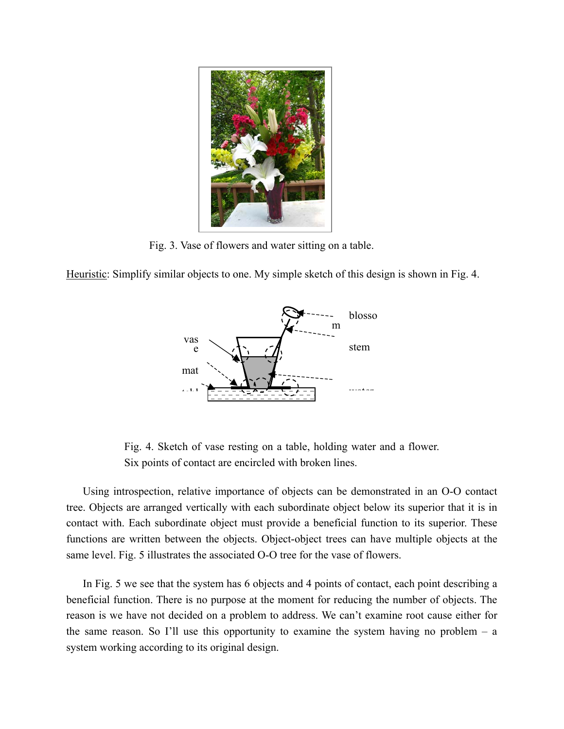

Fig. 3. Vase of flowers and water sitting on a table.

Heuristic: Simplify similar objects to one. My simple sketch of this design is shown in Fig. 4.



Fig. 4. Sketch of vase resting on a table, holding water and a flower. Six points of contact are encircled with broken lines.

Using introspection, relative importance of objects can be demonstrated in an O-O contact tree. Objects are arranged vertically with each subordinate object below its superior that it is in contact with. Each subordinate object must provide a beneficial function to its superior. These functions are written between the objects. Object-object trees can have multiple objects at the same level. Fig. 5 illustrates the associated O-O tree for the vase of flowers.

In Fig. 5 we see that the system has 6 objects and 4 points of contact, each point describing a beneficial function. There is no purpose at the moment for reducing the number of objects. The reason is we have not decided on a problem to address. We can't examine root cause either for the same reason. So I'll use this opportunity to examine the system having no problem  $- a$ system working according to its original design.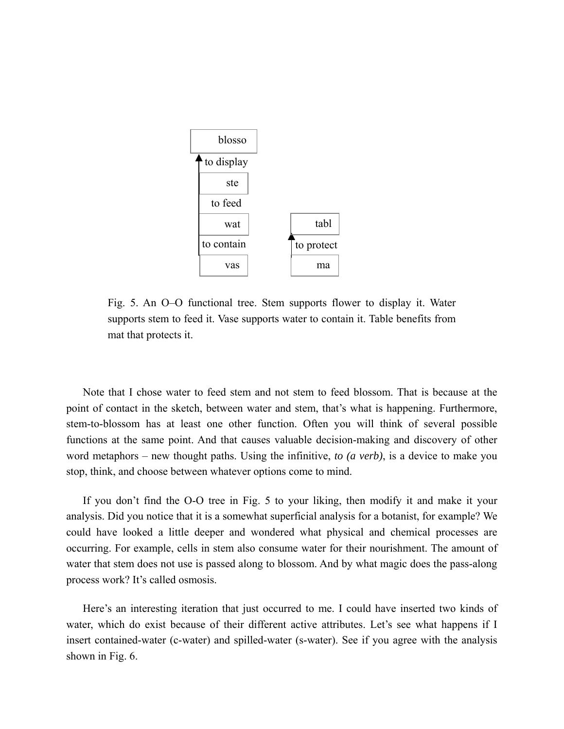

Fig. 5. An O–O functional tree. Stem supports flower to display it. Water supports stem to feed it. Vase supports water to contain it. Table benefits from mat that protects it.

Note that I chose water to feed stem and not stem to feed blossom. That is because at the point of contact in the sketch, between water and stem, that's what is happening. Furthermore, stem-to-blossom has at least one other function. Often you will think of several possible functions at the same point. And that causes valuable decision-making and discovery of other word metaphors – new thought paths. Using the infinitive, *to (a verb)*, is a device to make you stop, think, and choose between whatever options come to mind.

If you don't find the O-O tree in Fig. 5 to your liking, then modify it and make it your analysis. Did you notice that it is a somewhat superficial analysis for a botanist, for example? We could have looked a little deeper and wondered what physical and chemical processes are occurring. For example, cells in stem also consume water for their nourishment. The amount of water that stem does not use is passed along to blossom. And by what magic does the pass-along process work? It's called osmosis.

Here's an interesting iteration that just occurred to me. I could have inserted two kinds of water, which do exist because of their different active attributes. Let's see what happens if I insert contained-water (c-water) and spilled-water (s-water). See if you agree with the analysis shown in Fig. 6.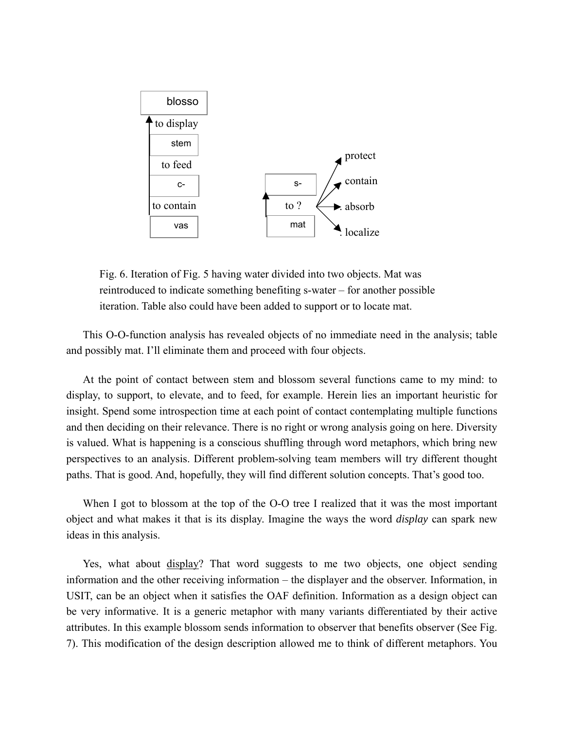

Fig. 6. Iteration of Fig. 5 having water divided into two objects. Mat was reintroduced to indicate something benefiting s-water – for another possible iteration. Table also could have been added to support or to locate mat.

This O-O-function analysis has revealed objects of no immediate need in the analysis; table and possibly mat. I'll eliminate them and proceed with four objects.

At the point of contact between stem and blossom several functions came to my mind: to display, to support, to elevate, and to feed, for example. Herein lies an important heuristic for insight. Spend some introspection time at each point of contact contemplating multiple functions and then deciding on their relevance. There is no right or wrong analysis going on here. Diversity is valued. What is happening is a conscious shuffling through word metaphors, which bring new perspectives to an analysis. Different problem-solving team members will try different thought paths. That is good. And, hopefully, they will find different solution concepts. That's good too.

When I got to blossom at the top of the O-O tree I realized that it was the most important object and what makes it that is its display. Imagine the ways the word *display* can spark new ideas in this analysis.

Yes, what about display? That word suggests to me two objects, one object sending information and the other receiving information – the displayer and the observer. Information, in USIT, can be an object when it satisfies the OAF definition. Information as a design object can be very informative. It is a generic metaphor with many variants differentiated by their active attributes. In this example blossom sends information to observer that benefits observer (See Fig. 7). This modification of the design description allowed me to think of different metaphors. You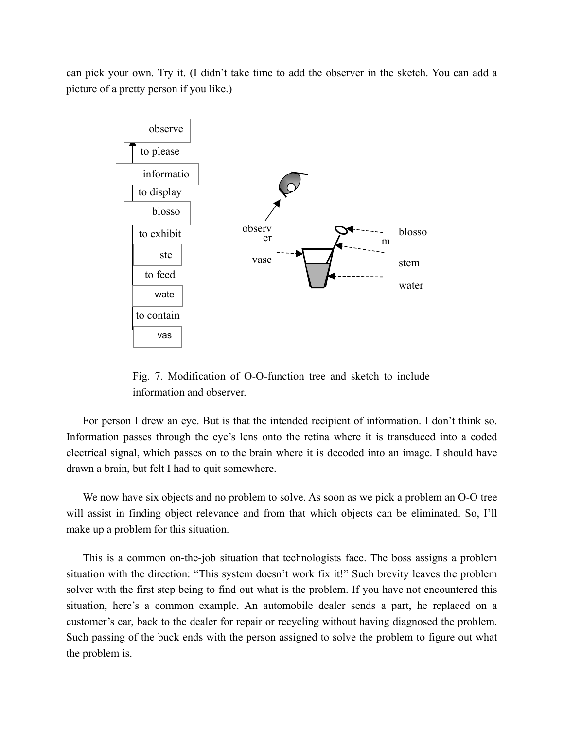can pick your own. Try it. (I didn't take time to add the observer in the sketch. You can add a picture of a pretty person if you like.)



Fig. 7. Modification of O-O-function tree and sketch to include information and observer.

For person I drew an eye. But is that the intended recipient of information. I don't think so. Information passes through the eye's lens onto the retina where it is transduced into a coded electrical signal, which passes on to the brain where it is decoded into an image. I should have drawn a brain, but felt I had to quit somewhere.

We now have six objects and no problem to solve. As soon as we pick a problem an O-O tree will assist in finding object relevance and from that which objects can be eliminated. So, I'll make up a problem for this situation.

This is a common on-the-job situation that technologists face. The boss assigns a problem situation with the direction: "This system doesn't work fix it!" Such brevity leaves the problem solver with the first step being to find out what is the problem. If you have not encountered this situation, here's a common example. An automobile dealer sends a part, he replaced on a customer's car, back to the dealer for repair or recycling without having diagnosed the problem. Such passing of the buck ends with the person assigned to solve the problem to figure out what the problem is.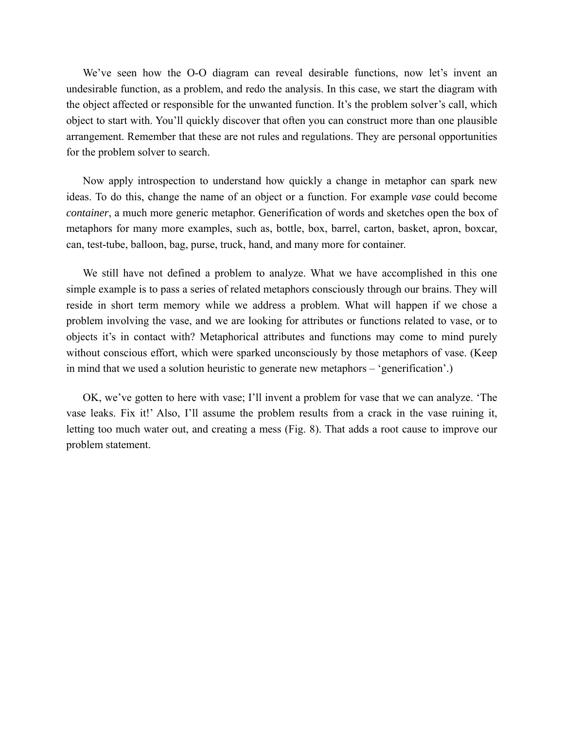We've seen how the O-O diagram can reveal desirable functions, now let's invent an undesirable function, as a problem, and redo the analysis. In this case, we start the diagram with the object affected or responsible for the unwanted function. It's the problem solver's call, which object to start with. You'll quickly discover that often you can construct more than one plausible arrangement. Remember that these are not rules and regulations. They are personal opportunities for the problem solver to search.

Now apply introspection to understand how quickly a change in metaphor can spark new ideas. To do this, change the name of an object or a function. For example *vase* could become *container*, a much more generic metaphor. Generification of words and sketches open the box of metaphors for many more examples, such as, bottle, box, barrel, carton, basket, apron, boxcar, can, test-tube, balloon, bag, purse, truck, hand, and many more for container.

We still have not defined a problem to analyze. What we have accomplished in this one simple example is to pass a series of related metaphors consciously through our brains. They will reside in short term memory while we address a problem. What will happen if we chose a problem involving the vase, and we are looking for attributes or functions related to vase, or to objects it's in contact with? Metaphorical attributes and functions may come to mind purely without conscious effort, which were sparked unconsciously by those metaphors of vase. (Keep in mind that we used a solution heuristic to generate new metaphors – 'generification'.)

OK, we've gotten to here with vase; I'll invent a problem for vase that we can analyze. 'The vase leaks. Fix it!' Also, I'll assume the problem results from a crack in the vase ruining it, letting too much water out, and creating a mess (Fig. 8). That adds a root cause to improve our problem statement.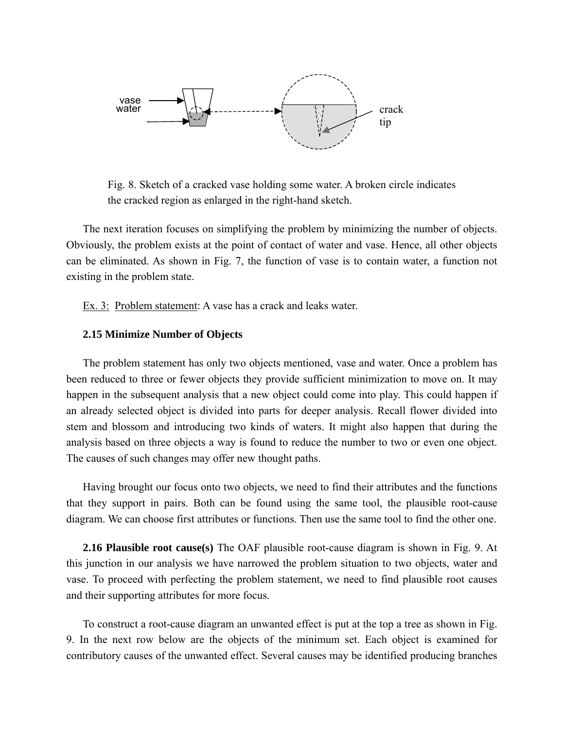

Fig. 8. Sketch of a cracked vase holding some water. A broken circle indicates the cracked region as enlarged in the right-hand sketch.

The next iteration focuses on simplifying the problem by minimizing the number of objects. Obviously, the problem exists at the point of contact of water and vase. Hence, all other objects can be eliminated. As shown in Fig. 7, the function of vase is to contain water, a function not existing in the problem state.

Ex. 3: Problem statement: A vase has a crack and leaks water.

### **2.15 Minimize Number of Objects**

The problem statement has only two objects mentioned, vase and water. Once a problem has been reduced to three or fewer objects they provide sufficient minimization to move on. It may happen in the subsequent analysis that a new object could come into play. This could happen if an already selected object is divided into parts for deeper analysis. Recall flower divided into stem and blossom and introducing two kinds of waters. It might also happen that during the analysis based on three objects a way is found to reduce the number to two or even one object. The causes of such changes may offer new thought paths.

Having brought our focus onto two objects, we need to find their attributes and the functions that they support in pairs. Both can be found using the same tool, the plausible root-cause diagram. We can choose first attributes or functions. Then use the same tool to find the other one.

**2.16 Plausible root cause(s)** The OAF plausible root-cause diagram is shown in Fig. 9. At this junction in our analysis we have narrowed the problem situation to two objects, water and vase. To proceed with perfecting the problem statement, we need to find plausible root causes and their supporting attributes for more focus.

To construct a root-cause diagram an unwanted effect is put at the top a tree as shown in Fig. 9. In the next row below are the objects of the minimum set. Each object is examined for contributory causes of the unwanted effect. Several causes may be identified producing branches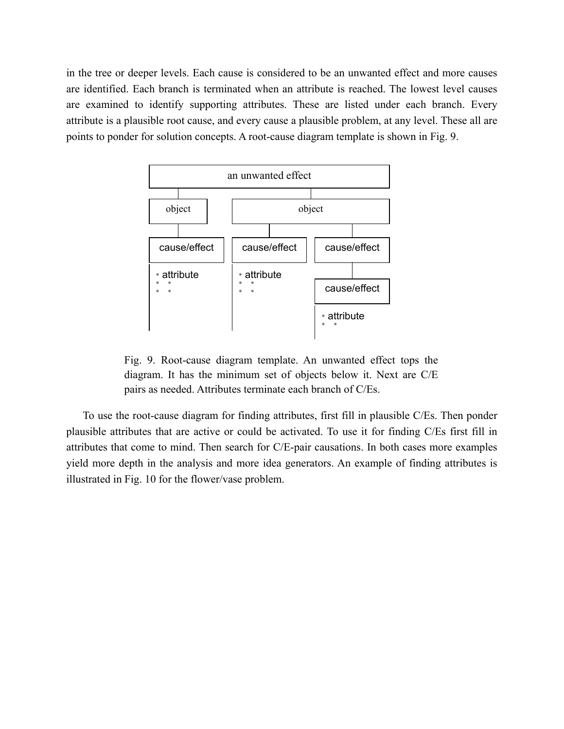in the tree or deeper levels. Each cause is considered to be an unwanted effect and more causes are identified. Each branch is terminated when an attribute is reached. The lowest level causes are examined to identify supporting attributes. These are listed under each branch. Every attribute is a plausible root cause, and every cause a plausible problem, at any level. These all are points to ponder for solution concepts. A root-cause diagram template is shown in Fig. 9.



Fig. 9. Root-cause diagram template. An unwanted effect tops the diagram. It has the minimum set of objects below it. Next are C/E pairs as needed. Attributes terminate each branch of C/Es.

To use the root-cause diagram for finding attributes, first fill in plausible C/Es. Then ponder plausible attributes that are active or could be activated. To use it for finding C/Es first fill in attributes that come to mind. Then search for C/E-pair causations. In both cases more examples yield more depth in the analysis and more idea generators. An example of finding attributes is illustrated in Fig. 10 for the flower/vase problem.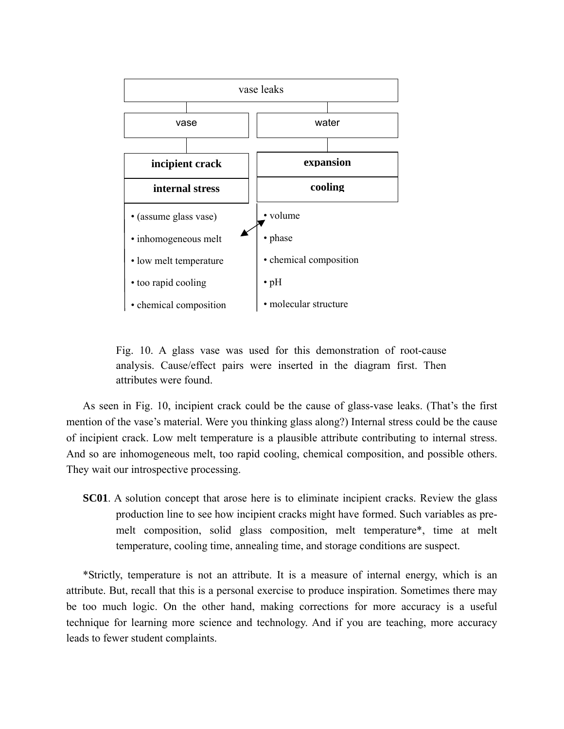

Fig. 10. A glass vase was used for this demonstration of root-cause analysis. Cause/effect pairs were inserted in the diagram first. Then attributes were found.

As seen in Fig. 10, incipient crack could be the cause of glass-vase leaks. (That's the first mention of the vase's material. Were you thinking glass along?) Internal stress could be the cause of incipient crack. Low melt temperature is a plausible attribute contributing to internal stress. And so are inhomogeneous melt, too rapid cooling, chemical composition, and possible others. They wait our introspective processing.

**SC01**. A solution concept that arose here is to eliminate incipient cracks. Review the glass production line to see how incipient cracks might have formed. Such variables as premelt composition, solid glass composition, melt temperature\*, time at melt temperature, cooling time, annealing time, and storage conditions are suspect.

\*Strictly, temperature is not an attribute. It is a measure of internal energy, which is an attribute. But, recall that this is a personal exercise to produce inspiration. Sometimes there may be too much logic. On the other hand, making corrections for more accuracy is a useful technique for learning more science and technology. And if you are teaching, more accuracy leads to fewer student complaints.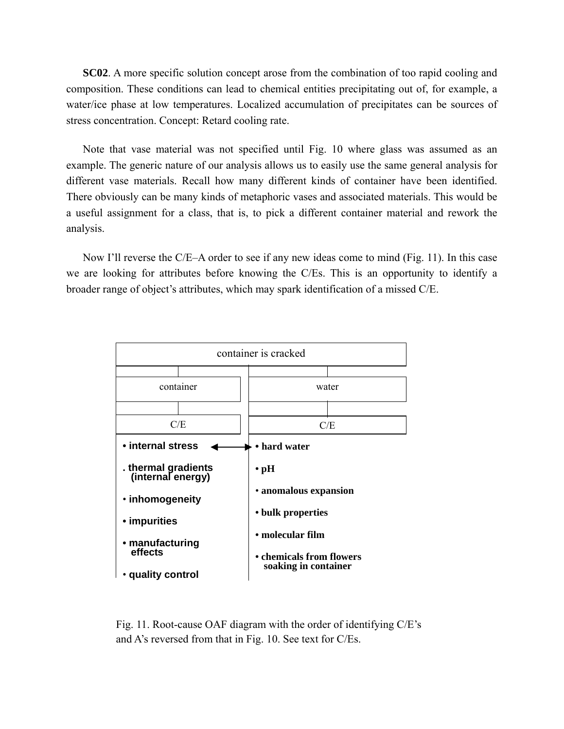**SC02**. A more specific solution concept arose from the combination of too rapid cooling and composition. These conditions can lead to chemical entities precipitating out of, for example, a water/ice phase at low temperatures. Localized accumulation of precipitates can be sources of stress concentration. Concept: Retard cooling rate.

Note that vase material was not specified until Fig. 10 where glass was assumed as an example. The generic nature of our analysis allows us to easily use the same general analysis for different vase materials. Recall how many different kinds of container have been identified. There obviously can be many kinds of metaphoric vases and associated materials. This would be a useful assignment for a class, that is, to pick a different container material and rework the analysis.

Now I'll reverse the C/E–A order to see if any new ideas come to mind (Fig. 11). In this case we are looking for attributes before knowing the C/Es. This is an opportunity to identify a broader range of object's attributes, which may spark identification of a missed C/E.



Fig. 11. Root-cause OAF diagram with the order of identifying C/E's and A's reversed from that in Fig. 10. See text for C/Es.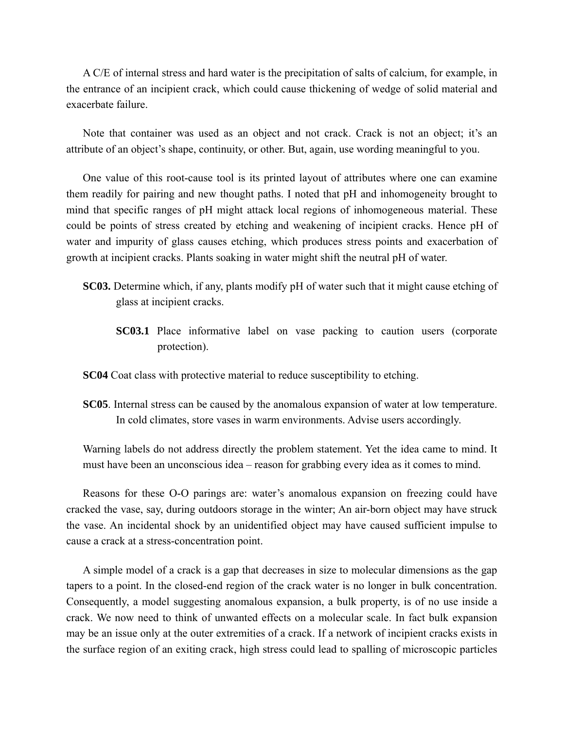A C/E of internal stress and hard water is the precipitation of salts of calcium, for example, in the entrance of an incipient crack, which could cause thickening of wedge of solid material and exacerbate failure.

Note that container was used as an object and not crack. Crack is not an object; it's an attribute of an object's shape, continuity, or other. But, again, use wording meaningful to you.

One value of this root-cause tool is its printed layout of attributes where one can examine them readily for pairing and new thought paths. I noted that pH and inhomogeneity brought to mind that specific ranges of pH might attack local regions of inhomogeneous material. These could be points of stress created by etching and weakening of incipient cracks. Hence pH of water and impurity of glass causes etching, which produces stress points and exacerbation of growth at incipient cracks. Plants soaking in water might shift the neutral pH of water.

- **SC03.** Determine which, if any, plants modify pH of water such that it might cause etching of glass at incipient cracks.
	- **SC03.1** Place informative label on vase packing to caution users (corporate protection).

**SC04** Coat class with protective material to reduce susceptibility to etching.

**SC05**. Internal stress can be caused by the anomalous expansion of water at low temperature. In cold climates, store vases in warm environments. Advise users accordingly.

Warning labels do not address directly the problem statement. Yet the idea came to mind. It must have been an unconscious idea – reason for grabbing every idea as it comes to mind.

Reasons for these O-O parings are: water's anomalous expansion on freezing could have cracked the vase, say, during outdoors storage in the winter; An air-born object may have struck the vase. An incidental shock by an unidentified object may have caused sufficient impulse to cause a crack at a stress-concentration point.

A simple model of a crack is a gap that decreases in size to molecular dimensions as the gap tapers to a point. In the closed-end region of the crack water is no longer in bulk concentration. Consequently, a model suggesting anomalous expansion, a bulk property, is of no use inside a crack. We now need to think of unwanted effects on a molecular scale. In fact bulk expansion may be an issue only at the outer extremities of a crack. If a network of incipient cracks exists in the surface region of an exiting crack, high stress could lead to spalling of microscopic particles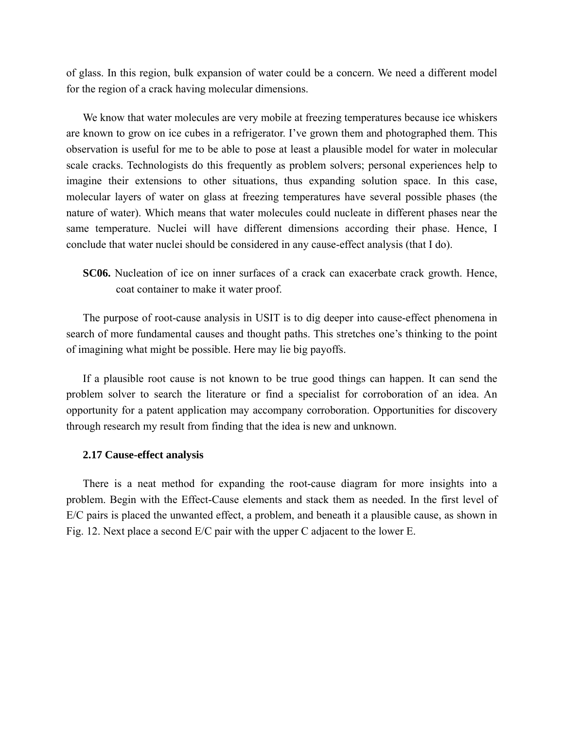of glass. In this region, bulk expansion of water could be a concern. We need a different model for the region of a crack having molecular dimensions.

We know that water molecules are very mobile at freezing temperatures because ice whiskers are known to grow on ice cubes in a refrigerator. I've grown them and photographed them. This observation is useful for me to be able to pose at least a plausible model for water in molecular scale cracks. Technologists do this frequently as problem solvers; personal experiences help to imagine their extensions to other situations, thus expanding solution space. In this case, molecular layers of water on glass at freezing temperatures have several possible phases (the nature of water). Which means that water molecules could nucleate in different phases near the same temperature. Nuclei will have different dimensions according their phase. Hence, I conclude that water nuclei should be considered in any cause-effect analysis (that I do).

**SC06.** Nucleation of ice on inner surfaces of a crack can exacerbate crack growth. Hence, coat container to make it water proof.

The purpose of root-cause analysis in USIT is to dig deeper into cause-effect phenomena in search of more fundamental causes and thought paths. This stretches one's thinking to the point of imagining what might be possible. Here may lie big payoffs.

If a plausible root cause is not known to be true good things can happen. It can send the problem solver to search the literature or find a specialist for corroboration of an idea. An opportunity for a patent application may accompany corroboration. Opportunities for discovery through research my result from finding that the idea is new and unknown.

### **2.17 Cause-effect analysis**

There is a neat method for expanding the root-cause diagram for more insights into a problem. Begin with the Effect-Cause elements and stack them as needed. In the first level of E/C pairs is placed the unwanted effect, a problem, and beneath it a plausible cause, as shown in Fig. 12. Next place a second E/C pair with the upper C adjacent to the lower E.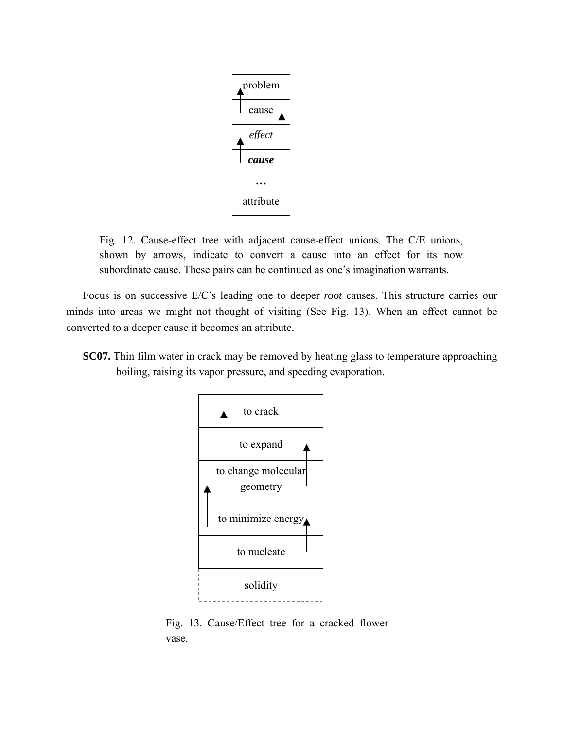

Fig. 12. Cause-effect tree with adjacent cause-effect unions. The C/E unions, shown by arrows, indicate to convert a cause into an effect for its now subordinate cause. These pairs can be continued as one's imagination warrants.

Focus is on successive E/C's leading one to deeper *root* causes. This structure carries our minds into areas we might not thought of visiting (See Fig. 13). When an effect cannot be converted to a deeper cause it becomes an attribute.

**SC07.** Thin film water in crack may be removed by heating glass to temperature approaching boiling, raising its vapor pressure, and speeding evaporation.



Fig. 13. Cause/Effect tree for a cracked flower vase.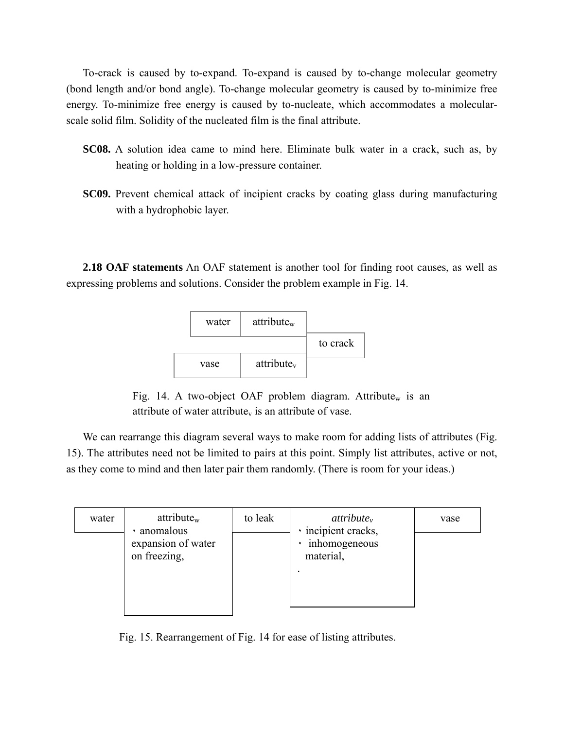To-crack is caused by to-expand. To-expand is caused by to-change molecular geometry (bond length and/or bond angle). To-change molecular geometry is caused by to-minimize free energy. To-minimize free energy is caused by to-nucleate, which accommodates a molecularscale solid film. Solidity of the nucleated film is the final attribute.

- **SC08.** A solution idea came to mind here. Eliminate bulk water in a crack, such as, by heating or holding in a low-pressure container.
- **SC09.** Prevent chemical attack of incipient cracks by coating glass during manufacturing with a hydrophobic layer.

**2.18 OAF statements** An OAF statement is another tool for finding root causes, as well as expressing problems and solutions. Consider the problem example in Fig. 14.



Fig. 14. A two-object OAF problem diagram. Attribute<sub>w</sub> is an attribute of water attribute $<sub>v</sub>$  is an attribute of vase.</sub>

We can rearrange this diagram several ways to make room for adding lists of attributes (Fig. 15). The attributes need not be limited to pairs at this point. Simply list attributes, active or not, as they come to mind and then later pair them randomly. (There is room for your ideas.)

| water | attribute <sub>w</sub><br>anomalous | to leak | $attribute_v$<br>· incipient cracks,<br>inhomogeneous<br>material, | vase |
|-------|-------------------------------------|---------|--------------------------------------------------------------------|------|
|       | expansion of water<br>on freezing,  |         |                                                                    |      |

Fig. 15. Rearrangement of Fig. 14 for ease of listing attributes.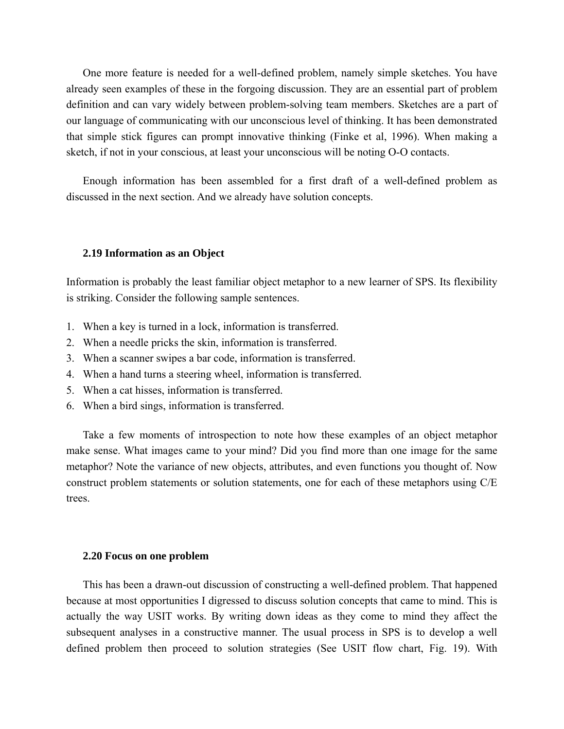One more feature is needed for a well-defined problem, namely simple sketches. You have already seen examples of these in the forgoing discussion. They are an essential part of problem definition and can vary widely between problem-solving team members. Sketches are a part of our language of communicating with our unconscious level of thinking. It has been demonstrated that simple stick figures can prompt innovative thinking (Finke et al, 1996). When making a sketch, if not in your conscious, at least your unconscious will be noting O-O contacts.

Enough information has been assembled for a first draft of a well-defined problem as discussed in the next section. And we already have solution concepts.

### **2.19 Information as an Object**

Information is probably the least familiar object metaphor to a new learner of SPS. Its flexibility is striking. Consider the following sample sentences.

- 1. When a key is turned in a lock, information is transferred.
- 2. When a needle pricks the skin, information is transferred.
- 3. When a scanner swipes a bar code, information is transferred.
- 4. When a hand turns a steering wheel, information is transferred.
- 5. When a cat hisses, information is transferred.
- 6. When a bird sings, information is transferred.

Take a few moments of introspection to note how these examples of an object metaphor make sense. What images came to your mind? Did you find more than one image for the same metaphor? Note the variance of new objects, attributes, and even functions you thought of. Now construct problem statements or solution statements, one for each of these metaphors using C/E trees.

### **2.20 Focus on one problem**

This has been a drawn-out discussion of constructing a well-defined problem. That happened because at most opportunities I digressed to discuss solution concepts that came to mind. This is actually the way USIT works. By writing down ideas as they come to mind they affect the subsequent analyses in a constructive manner. The usual process in SPS is to develop a well defined problem then proceed to solution strategies (See USIT flow chart, Fig. 19). With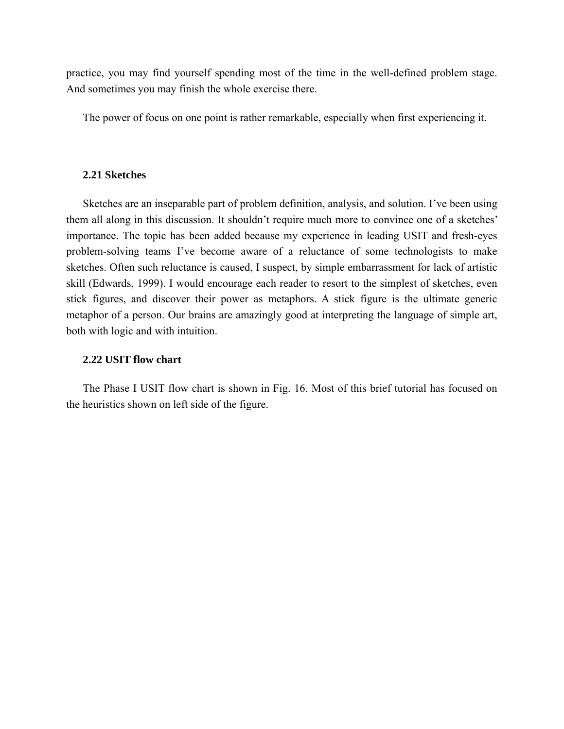practice, you may find yourself spending most of the time in the well-defined problem stage. And sometimes you may finish the whole exercise there.

The power of focus on one point is rather remarkable, especially when first experiencing it.

### **2.21 Sketches**

Sketches are an inseparable part of problem definition, analysis, and solution. I've been using them all along in this discussion. It shouldn't require much more to convince one of a sketches' importance. The topic has been added because my experience in leading USIT and fresh-eyes problem-solving teams I've become aware of a reluctance of some technologists to make sketches. Often such reluctance is caused, I suspect, by simple embarrassment for lack of artistic skill (Edwards, 1999). I would encourage each reader to resort to the simplest of sketches, even stick figures, and discover their power as metaphors. A stick figure is the ultimate generic metaphor of a person. Our brains are amazingly good at interpreting the language of simple art, both with logic and with intuition.

# **2.22 USIT flow chart**

The Phase I USIT flow chart is shown in Fig. 16. Most of this brief tutorial has focused on the heuristics shown on left side of the figure.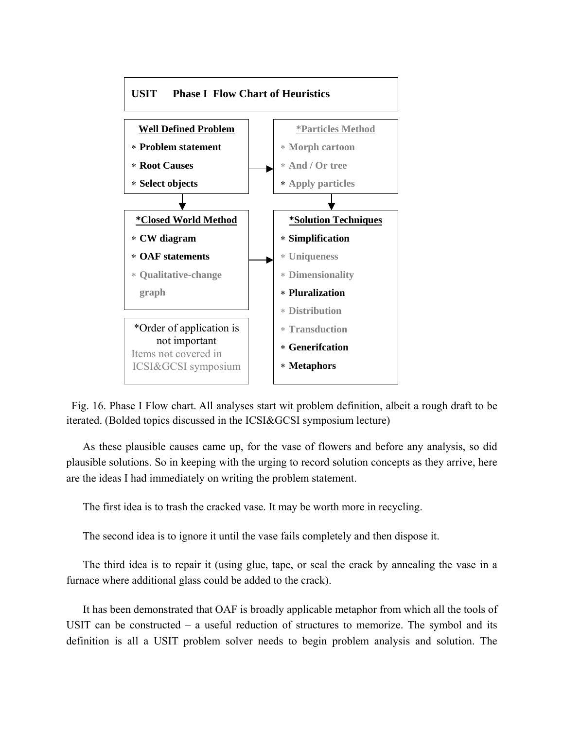

Fig. 16. Phase I Flow chart. All analyses start wit problem definition, albeit a rough draft to be iterated. (Bolded topics discussed in the ICSI&GCSI symposium lecture)

As these plausible causes came up, for the vase of flowers and before any analysis, so did plausible solutions. So in keeping with the urging to record solution concepts as they arrive, here are the ideas I had immediately on writing the problem statement.

The first idea is to trash the cracked vase. It may be worth more in recycling.

The second idea is to ignore it until the vase fails completely and then dispose it.

The third idea is to repair it (using glue, tape, or seal the crack by annealing the vase in a furnace where additional glass could be added to the crack).

It has been demonstrated that OAF is broadly applicable metaphor from which all the tools of USIT can be constructed – a useful reduction of structures to memorize. The symbol and its definition is all a USIT problem solver needs to begin problem analysis and solution. The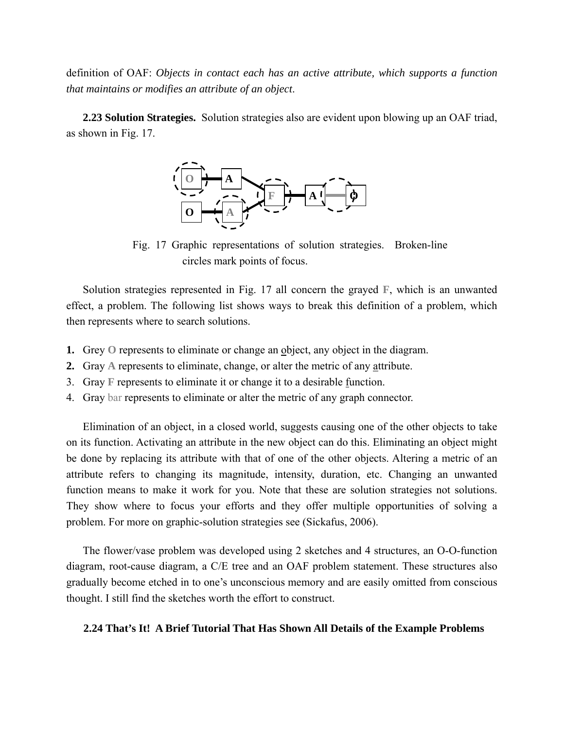definition of OAF: *Objects in contact each has an active attribute, which supports a function that maintains or modifies an attribute of an object*.

**2.23 Solution Strategies.** Solution strategies also are evident upon blowing up an OAF triad, as shown in Fig. 17.



Fig. 17 Graphic representations of solution strategies. Broken-line circles mark points of focus.

Solution strategies represented in Fig. 17 all concern the grayed **F**, which is an unwanted effect, a problem. The following list shows ways to break this definition of a problem, which then represents where to search solutions.

- **1.** Grey **O** represents to eliminate or change an object, any object in the diagram.
- **2.** Gray **A** represents to eliminate, change, or alter the metric of any attribute.
- 3. Gray **F** represents to eliminate it or change it to a desirable function.
- 4. Gray bar represents to eliminate or alter the metric of any graph connector.

Elimination of an object, in a closed world, suggests causing one of the other objects to take on its function. Activating an attribute in the new object can do this. Eliminating an object might be done by replacing its attribute with that of one of the other objects. Altering a metric of an attribute refers to changing its magnitude, intensity, duration, etc. Changing an unwanted function means to make it work for you. Note that these are solution strategies not solutions. They show where to focus your efforts and they offer multiple opportunities of solving a problem. For more on graphic-solution strategies see (Sickafus, 2006).

The flower/vase problem was developed using 2 sketches and 4 structures, an O-O-function diagram, root-cause diagram, a C/E tree and an OAF problem statement. These structures also gradually become etched in to one's unconscious memory and are easily omitted from conscious thought. I still find the sketches worth the effort to construct.

### **2.24 That's It! A Brief Tutorial That Has Shown All Details of the Example Problems**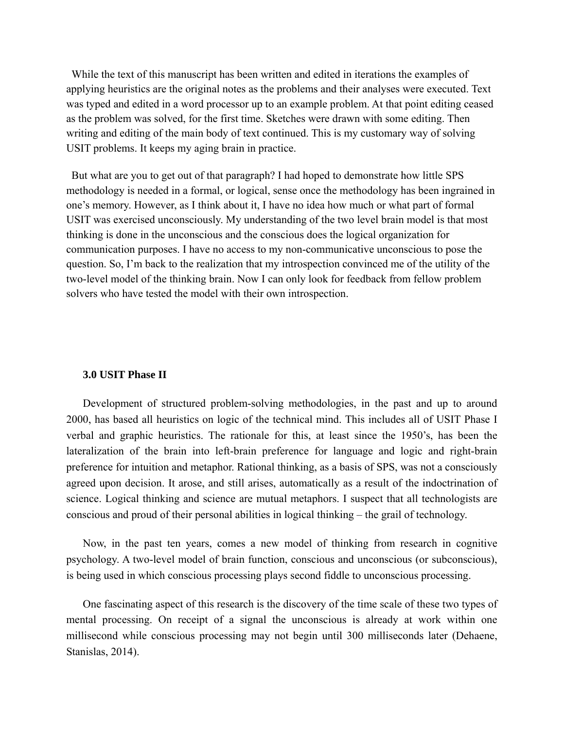W hile the text of this manuscript has been written and edited in iterations the examples of applying heuristics are the original notes as the problems and their analyses were executed. Text was typed and edited in a word processor up to an example problem. At that point editing ceased as the problem was solved, for the first time. Sketches were drawn with some editing. Then writing and editing of the main body of text continued. This is my customary way of solving USIT problems. It keeps my aging brain in practice.

Bu t what are you to get out of that paragraph? I had hoped to demonstrate how little SPS methodology is needed in a formal, or logical, sense once the methodology has been ingrained in one's memory. However, as I think about it, I have no idea how much or what part of formal USIT was exercised unconsciously. My understanding of the two level brain model is that most thinking is done in the unconscious and the conscious does the logical organization for communication purposes. I have no access to my non-communicative unconscious to pose the question. So, I'm back to the realization that my introspection convinced me of the utility of the two-level model of the thinking brain. Now I can only look for feedback from fellow problem solvers who have tested the model with their own introspection.

### **3.0 USIT Phase II**

Development of structured problem-solving methodologies, in the past and up to around 2000, has based all heuristics on logic of the technical mind. This includes all of USIT Phase I verbal and graphic heuristics. The rationale for this, at least since the 1950's, has been the lateralization of the brain into left-brain preference for language and logic and right-brain preference for intuition and metaphor. Rational thinking, as a basis of SPS, was not a consciously agreed upon decision. It arose, and still arises, automatically as a result of the indoctrination of science. Logical thinking and science are mutual metaphors. I suspect that all technologists are conscious and proud of their personal abilities in logical thinking – the grail of technology.

Now, in the past ten years, comes a new model of thinking from research in cognitive psychology. A two-level model of brain function, conscious and unconscious (or subconscious), is being used in which conscious processing plays second fiddle to unconscious processing.

One fascinating aspect of this research is the discovery of the time scale of these two types of mental processing. On receipt of a signal the unconscious is already at work within one millisecond while conscious processing may not begin until 300 milliseconds later (Dehaene, Stanislas, 2014).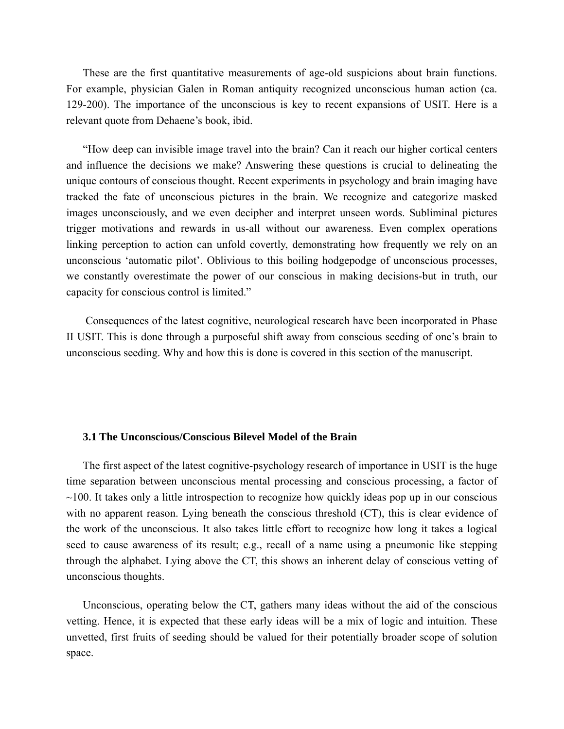These are the first quantitative measurements of age-old suspicions about brain functions. For example, physician Galen in Roman antiquity recognized unconscious human action (ca. 129-200). The importance of the unconscious is key to recent expansions of USIT. Here is a relevant quote from Dehaene's book, ibid.

"How deep can invisible image travel into the brain? Can it reach our higher cortical centers and influence the decisions we make? Answering these questions is crucial to delineating the unique contours of conscious thought. Recent experiments in psychology and brain imaging have tracked the fate of unconscious pictures in the brain. We recognize and categorize masked images unconsciously, and we even decipher and interpret unseen words. Subliminal pictures trigger motivations and rewards in us-all without our awareness. Even complex operations linking perception to action can unfold covertly, demonstrating how frequently we rely on an unconscious 'automatic pilot'. Oblivious to this boiling hodgepodge of unconscious processes, we constantly overestimate the power of our conscious in making decisions-but in truth, our capacity for conscious control is limited."

 Consequences of the latest cognitive, neurological research have been incorporated in Phase II USIT. This is done through a purposeful shift away from conscious seeding of one's brain to unconscious seeding. Why and how this is done is covered in this section of the manuscript.

## **3.1 The Unconscious/Conscious Bilevel Model of the Brain**

The first aspect of the latest cognitive-psychology research of importance in USIT is the huge time separation between unconscious mental processing and conscious processing, a factor of  $\sim$ 100. It takes only a little introspection to recognize how quickly ideas pop up in our conscious with no apparent reason. Lying beneath the conscious threshold (CT), this is clear evidence of the work of the unconscious. It also takes little effort to recognize how long it takes a logical seed to cause awareness of its result; e.g., recall of a name using a pneumonic like stepping through the alphabet. Lying above the CT, this shows an inherent delay of conscious vetting of unconscious thoughts.

Unconscious, operating below the CT, gathers many ideas without the aid of the conscious vetting. Hence, it is expected that these early ideas will be a mix of logic and intuition. These unvetted, first fruits of seeding should be valued for their potentially broader scope of solution space.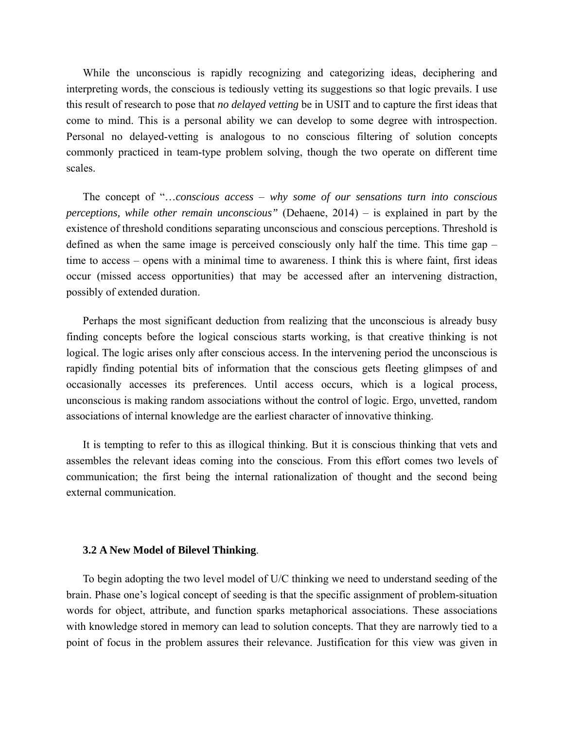While the unconscious is rapidly recognizing and categorizing ideas, deciphering and interpreting words, the conscious is tediously vetting its suggestions so that logic prevails. I use this result of research to pose that *no delayed vetting* be in USIT and to capture the first ideas that come to mind. This is a personal ability we can develop to some degree with introspection. Personal no delayed-vetting is analogous to no conscious filtering of solution concepts commonly practiced in team-type problem solving, though the two operate on different time scales.

The concept of "…*conscious access* – *why some of our sensations turn into conscious perceptions, while other remain unconscious"* (Dehaene, 2014) – is explained in part by the existence of threshold conditions separating unconscious and conscious perceptions. Threshold is defined as when the same image is perceived consciously only half the time. This time gap – time to access – opens with a minimal time to awareness. I think this is where faint, first ideas occur (missed access opportunities) that may be accessed after an intervening distraction, possibly of extended duration.

Perhaps the most significant deduction from realizing that the unconscious is already busy finding concepts before the logical conscious starts working, is that creative thinking is not logical. The logic arises only after conscious access. In the intervening period the unconscious is rapidly finding potential bits of information that the conscious gets fleeting glimpses of and occasionally accesses its preferences. Until access occurs, which is a logical process, unconscious is making random associations without the control of logic. Ergo, unvetted, random associations of internal knowledge are the earliest character of innovative thinking.

It is tempting to refer to this as illogical thinking. But it is conscious thinking that vets and assembles the relevant ideas coming into the conscious. From this effort comes two levels of communication; the first being the internal rationalization of thought and the second being external communication.

#### **3.2 A New Model of Bilevel Thinking**.

To begin adopting the two level model of U/C thinking we need to understand seeding of the brain. Phase one's logical concept of seeding is that the specific assignment of problem-situation words for object, attribute, and function sparks metaphorical associations. These associations with knowledge stored in memory can lead to solution concepts. That they are narrowly tied to a point of focus in the problem assures their relevance. Justification for this view was given in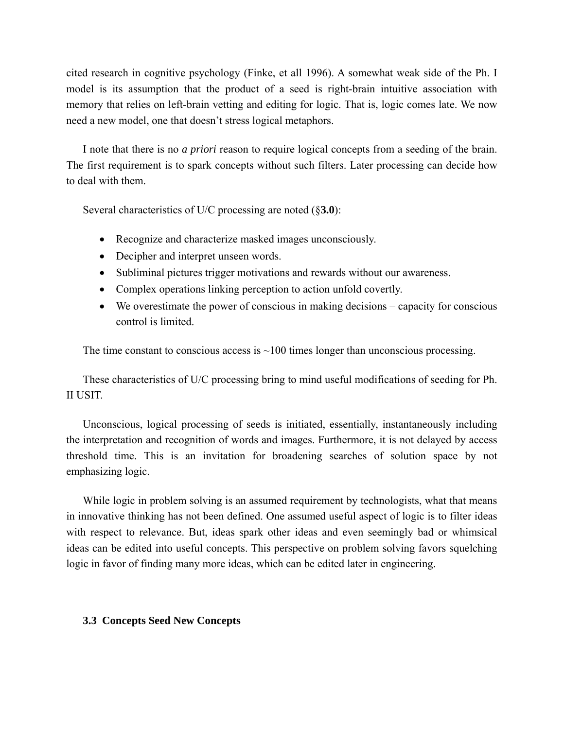cited research in cognitive psychology (Finke, et all 1996). A somewhat weak side of the Ph. I model is its assumption that the product of a seed is right-brain intuitive association with memory that relies on left-brain vetting and editing for logic. That is, logic comes late. We now need a new model, one that doesn't stress logical metaphors.

I note that there is no *a priori* reason to require logical concepts from a seeding of the brain. The first requirement is to spark concepts without such filters. Later processing can decide how to deal with them.

Several characteristics of U/C processing are noted (§**3.0**):

- Recognize and characterize masked images unconsciously.
- Decipher and interpret unseen words.
- Subliminal pictures trigger motivations and rewards without our awareness.
- Complex operations linking perception to action unfold covertly.
- We overestimate the power of conscious in making decisions capacity for conscious control is limited.

The time constant to conscious access is  $\sim$ 100 times longer than unconscious processing.

These characteristics of U/C processing bring to mind useful modifications of seeding for Ph. II USIT.

Unconscious, logical processing of seeds is initiated, essentially, instantaneously including the interpretation and recognition of words and images. Furthermore, it is not delayed by access threshold time. This is an invitation for broadening searches of solution space by not emphasizing logic.

While logic in problem solving is an assumed requirement by technologists, what that means in innovative thinking has not been defined. One assumed useful aspect of logic is to filter ideas with respect to relevance. But, ideas spark other ideas and even seemingly bad or whimsical ideas can be edited into useful concepts. This perspective on problem solving favors squelching logic in favor of finding many more ideas, which can be edited later in engineering.

# **3.3 Concepts Seed New Concepts**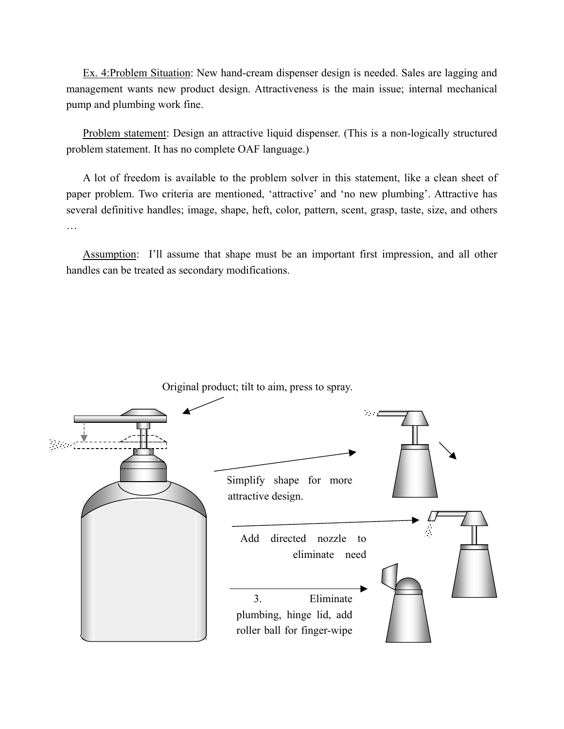Ex. 4:Problem Situation: New hand-cream dispenser design is needed. Sales are lagging and management wants new product design. Attractiveness is the main issue; internal mechanical pump and plumbing work fine.

Problem statement: Design an attractive liquid dispenser. (This is a non-logically structured problem statement. It has no complete OAF language.)

A lot of freedom is available to the problem solver in this statement, like a clean sheet of paper problem. Two criteria are mentioned, 'attractive' and 'no new plumbing'. Attractive has several definitive handles; image, shape, heft, color, pattern, scent, grasp, taste, size, and others …

Assumption: I'll assume that shape must be an important first impression, and all other handles can be treated as secondary modifications.

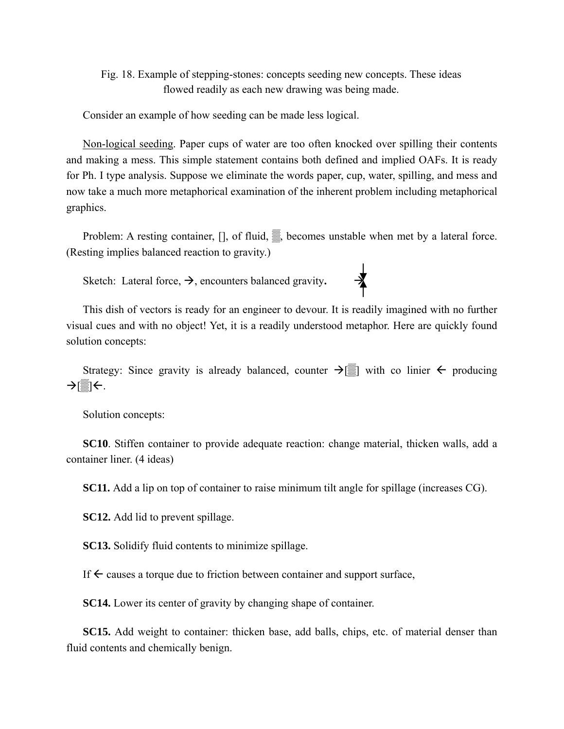Fig. 18. Example of stepping-stones: concepts seeding new concepts. These ideas flowed readily as each new drawing was being made.

Consider an example of how seeding can be made less logical.

Non-logical seeding. Paper cups of water are too often knocked over spilling their contents and making a mess. This simple statement contains both defined and implied OAFs. It is ready for Ph. I type analysis. Suppose we eliminate the words paper, cup, water, spilling, and mess and now take a much more metaphorical examination of the inherent problem including metaphorical graphics.

Problem: A resting container, [], of fluid, ▒, becomes unstable when met by a lateral force. (Resting implies balanced reaction to gravity.)

Sketch: Lateral force,  $\rightarrow$ , encounters balanced gravity.



Strategy: Since gravity is already balanced, counter  $\rightarrow$ [ $\equiv$ ] with co linier  $\leftarrow$  producing  $\rightarrow$ 

Solution concepts:

**SC10**. Stiffen container to provide adequate reaction: change material, thicken walls, add a container liner. (4 ideas)

**SC11.** Add a lip on top of container to raise minimum tilt angle for spillage (increases CG).

**SC12.** Add lid to prevent spillage.

**SC13.** Solidify fluid contents to minimize spillage.

If  $\leftarrow$  causes a torque due to friction between container and support surface,

**SC14.** Lower its center of gravity by changing shape of container.

**SC15.** Add weight to container: thicken base, add balls, chips, etc. of material denser than fluid contents and chemically benign.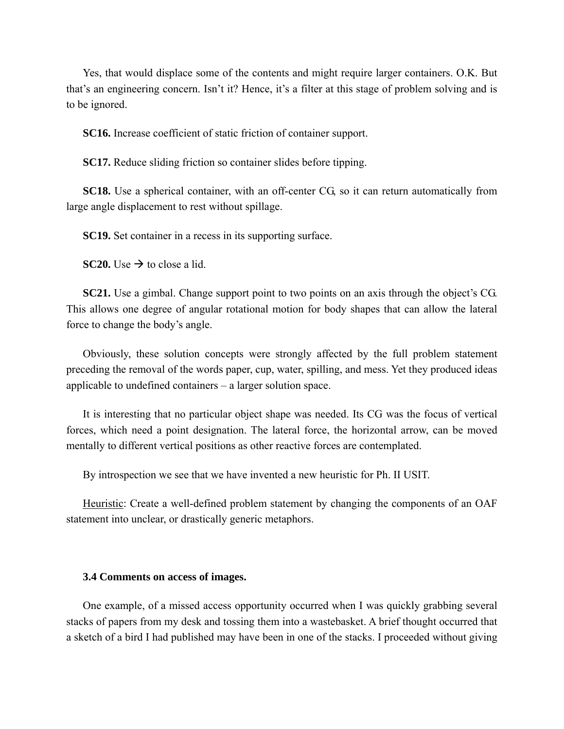Yes, that would displace some of the contents and might require larger containers. O.K. But that's an engineering concern. Isn't it? Hence, it's a filter at this stage of problem solving and is to be ignored.

**SC16.** Increase coefficient of static friction of container support.

**SC17.** Reduce sliding friction so container slides before tipping.

**SC18.** Use a spherical container, with an off-center CG, so it can return automatically from large angle displacement to rest without spillage.

**SC19.** Set container in a recess in its supporting surface.

**SC20.** Use  $\rightarrow$  to close a lid.

**SC21.** Use a gimbal. Change support point to two points on an axis through the object's CG. This allows one degree of angular rotational motion for body shapes that can allow the lateral force to change the body's angle.

Obviously, these solution concepts were strongly affected by the full problem statement preceding the removal of the words paper, cup, water, spilling, and mess. Yet they produced ideas applicable to undefined containers – a larger solution space.

It is interesting that no particular object shape was needed. Its CG was the focus of vertical forces, which need a point designation. The lateral force, the horizontal arrow, can be moved mentally to different vertical positions as other reactive forces are contemplated.

By introspection we see that we have invented a new heuristic for Ph. II USIT.

Heuristic: Create a well-defined problem statement by changing the components of an OAF statement into unclear, or drastically generic metaphors.

### **3.4 Comments on access of images.**

One example, of a missed access opportunity occurred when I was quickly grabbing several stacks of papers from my desk and tossing them into a wastebasket. A brief thought occurred that a sketch of a bird I had published may have been in one of the stacks. I proceeded without giving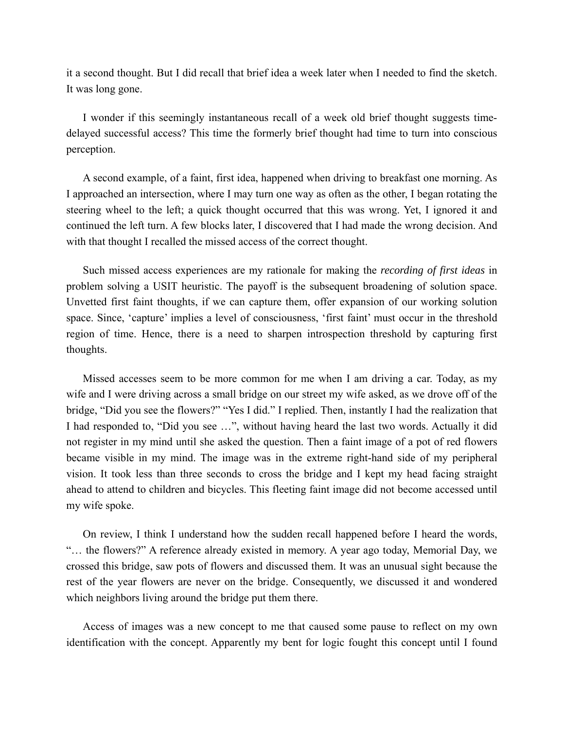it a second thought. But I did recall that brief idea a week later when I needed to find the sketch. It was long gone.

I wonder if this seemingly instantaneous recall of a week old brief thought suggests timedelayed successful access? This time the formerly brief thought had time to turn into conscious perception.

A second example, of a faint, first idea, happened when driving to breakfast one morning. As I approached an intersection, where I may turn one way as often as the other, I began rotating the steering wheel to the left; a quick thought occurred that this was wrong. Yet, I ignored it and continued the left turn. A few blocks later, I discovered that I had made the wrong decision. And with that thought I recalled the missed access of the correct thought.

Such missed access experiences are my rationale for making the *recording of first ideas* in problem solving a USIT heuristic. The payoff is the subsequent broadening of solution space. Unvetted first faint thoughts, if we can capture them, offer expansion of our working solution space. Since, 'capture' implies a level of consciousness, 'first faint' must occur in the threshold region of time. Hence, there is a need to sharpen introspection threshold by capturing first thoughts.

Missed accesses seem to be more common for me when I am driving a car. Today, as my wife and I were driving across a small bridge on our street my wife asked, as we drove off of the bridge, "Did you see the flowers?" "Yes I did." I replied. Then, instantly I had the realization that I had responded to, "Did you see …", without having heard the last two words. Actually it did not register in my mind until she asked the question. Then a faint image of a pot of red flowers became visible in my mind. The image was in the extreme right-hand side of my peripheral vision. It took less than three seconds to cross the bridge and I kept my head facing straight ahead to attend to children and bicycles. This fleeting faint image did not become accessed until my wife spoke.

On review, I think I understand how the sudden recall happened before I heard the words, "… the flowers?" A reference already existed in memory. A year ago today, Memorial Day, we crossed this bridge, saw pots of flowers and discussed them. It was an unusual sight because the rest of the year flowers are never on the bridge. Consequently, we discussed it and wondered which neighbors living around the bridge put them there.

Access of images was a new concept to me that caused some pause to reflect on my own identification with the concept. Apparently my bent for logic fought this concept until I found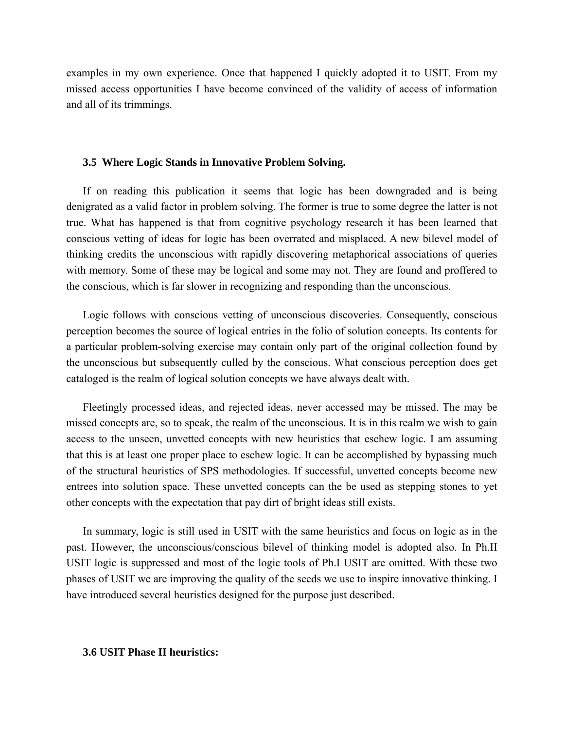examples in my own experience. Once that happened I quickly adopted it to USIT. From my missed access opportunities I have become convinced of the validity of access of information and all of its trimmings.

### **3.5 Where Logic Stands in Innovative Problem Solving.**

If on reading this publication it seems that logic has been downgraded and is being denigrated as a valid factor in problem solving. The former is true to some degree the latter is not true. What has happened is that from cognitive psychology research it has been learned that conscious vetting of ideas for logic has been overrated and misplaced. A new bilevel model of thinking credits the unconscious with rapidly discovering metaphorical associations of queries with memory. Some of these may be logical and some may not. They are found and proffered to the conscious, which is far slower in recognizing and responding than the unconscious.

Logic follows with conscious vetting of unconscious discoveries. Consequently, conscious perception becomes the source of logical entries in the folio of solution concepts. Its contents for a particular problem-solving exercise may contain only part of the original collection found by the unconscious but subsequently culled by the conscious. What conscious perception does get cataloged is the realm of logical solution concepts we have always dealt with.

Fleetingly processed ideas, and rejected ideas, never accessed may be missed. The may be missed concepts are, so to speak, the realm of the unconscious. It is in this realm we wish to gain access to the unseen, unvetted concepts with new heuristics that eschew logic. I am assuming that this is at least one proper place to eschew logic. It can be accomplished by bypassing much of the structural heuristics of SPS methodologies. If successful, unvetted concepts become new entrees into solution space. These unvetted concepts can the be used as stepping stones to yet other concepts with the expectation that pay dirt of bright ideas still exists.

In summary, logic is still used in USIT with the same heuristics and focus on logic as in the past. However, the unconscious/conscious bilevel of thinking model is adopted also. In Ph.II USIT logic is suppressed and most of the logic tools of Ph.I USIT are omitted. With these two phases of USIT we are improving the quality of the seeds we use to inspire innovative thinking. I have introduced several heuristics designed for the purpose just described.

## **3.6 USIT Phase II heuristics:**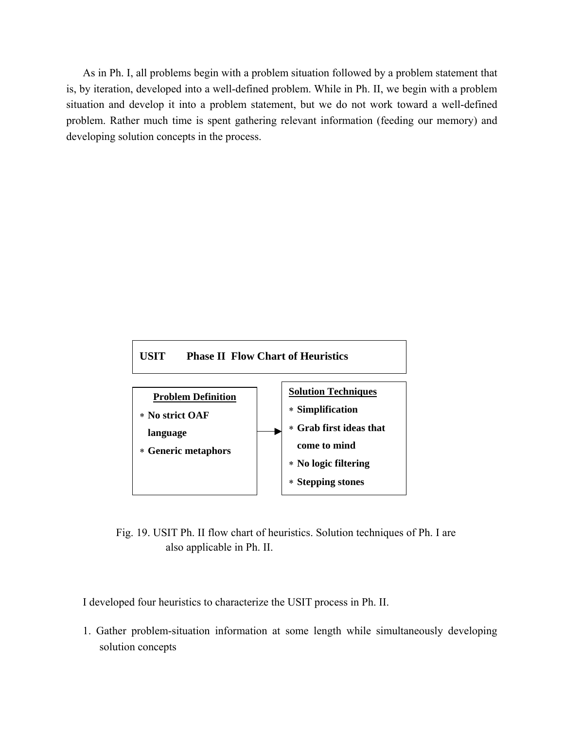As in Ph. I, all problems begin with a problem situation followed by a problem statement that is, by iteration, developed into a well-defined problem. While in Ph. II, we begin with a problem situation and develop it into a problem statement, but we do not work toward a well-defined problem. Rather much time is spent gathering relevant information (feeding our memory) and developing solution concepts in the process.



Fig. 19. USIT Ph. II flow chart of heuristics. Solution techniques of Ph. I are also applicable in Ph. II.

I developed four heuristics to characterize the USIT process in Ph. II.

1. Gather problem-situation information at some length while simultaneously developing solution concepts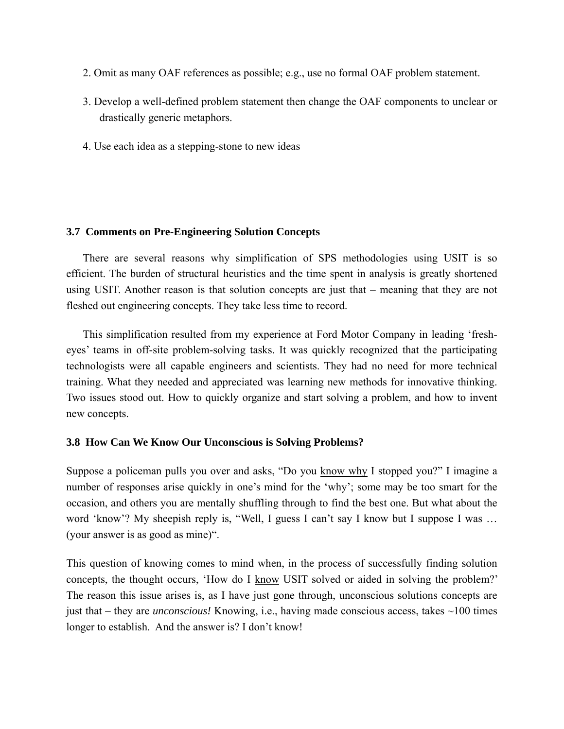- 2. Omit as many OAF references as possible; e.g., use no formal OAF problem statement.
- 3. Develop a well-defined problem statement then change the OAF components to unclear or drastically generic metaphors.
- 4. Use each idea as a stepping-stone to new ideas

## **3.7 Comments on Pre-Engineering Solution Concepts**

There are several reasons why simplification of SPS methodologies using USIT is so efficient. The burden of structural heuristics and the time spent in analysis is greatly shortened using USIT. Another reason is that solution concepts are just that – meaning that they are not fleshed out engineering concepts. They take less time to record.

This simplification resulted from my experience at Ford Motor Company in leading 'fresheyes' teams in off-site problem-solving tasks. It was quickly recognized that the participating technologists were all capable engineers and scientists. They had no need for more technical training. What they needed and appreciated was learning new methods for innovative thinking. Two issues stood out. How to quickly organize and start solving a problem, and how to invent new concepts.

# **3.8 How Can We Know Our Unconscious is Solving Problems?**

Suppose a policeman pulls you over and asks, "Do you know why I stopped you?" I imagine a number of responses arise quickly in one's mind for the 'why'; some may be too smart for the occasion, and others you are mentally shuffling through to find the best one. But what about the word 'know'? My sheepish reply is, "Well, I guess I can't say I know but I suppose I was ... (your answer is as good as mine)".

This question of knowing comes to mind when, in the process of successfully finding solution concepts, the thought occurs, 'How do I know USIT solved or aided in solving the problem?' The reason this issue arises is, as I have just gone through, unconscious solutions concepts are just that – they are *unconscious!* Knowing, i.e., having made conscious access, takes ~100 times longer to establish. And the answer is? I don't know!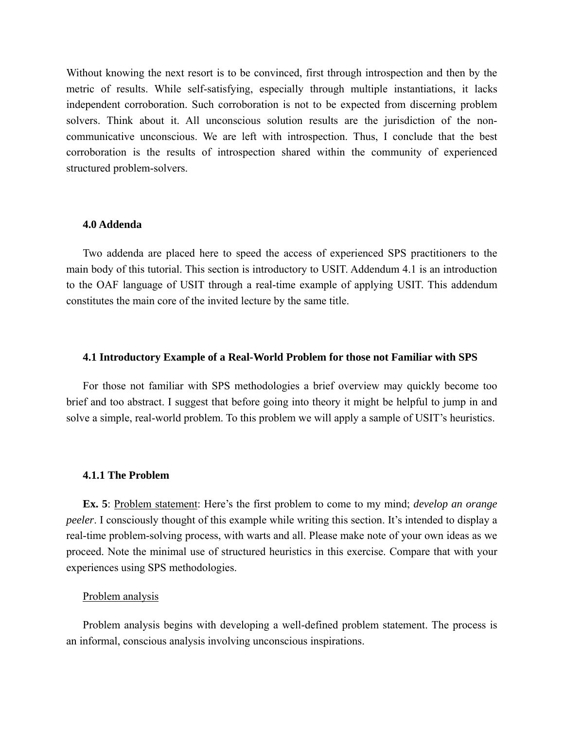Without knowing the next resort is to be convinced, first through introspection and then by the metric of results. While self-satisfying, especially through multiple instantiations, it lacks independent corroboration. Such corroboration is not to be expected from discerning problem solvers. Think about it. All unconscious solution results are the jurisdiction of the noncommunicative unconscious. We are left with introspection. Thus, I conclude that the best corroboration is the results of introspection shared within the community of experienced structured problem-solvers.

### **4.0 Addenda**

Two addenda are placed here to speed the access of experienced SPS practitioners to the main body of this tutorial. This section is introductory to USIT. Addendum 4.1 is an introduction to the OAF language of USIT through a real-time example of applying USIT. This addendum constitutes the main core of the invited lecture by the same title.

### **4.1 Introductory Example of a Real-World Problem for those not Familiar with SPS**

For those not familiar with SPS methodologies a brief overview may quickly become too brief and too abstract. I suggest that before going into theory it might be helpful to jump in and solve a simple, real-world problem. To this problem we will apply a sample of USIT's heuristics.

#### **4.1.1 The Problem**

**Ex. 5**: Problem statement: Here's the first problem to come to my mind; *develop an orange peeler*. I consciously thought of this example while writing this section. It's intended to display a real-time problem-solving process, with warts and all. Please make note of your own ideas as we proceed. Note the minimal use of structured heuristics in this exercise. Compare that with your experiences using SPS methodologies.

#### Problem analysis

Problem analysis begins with developing a well-defined problem statement. The process is an informal, conscious analysis involving unconscious inspirations.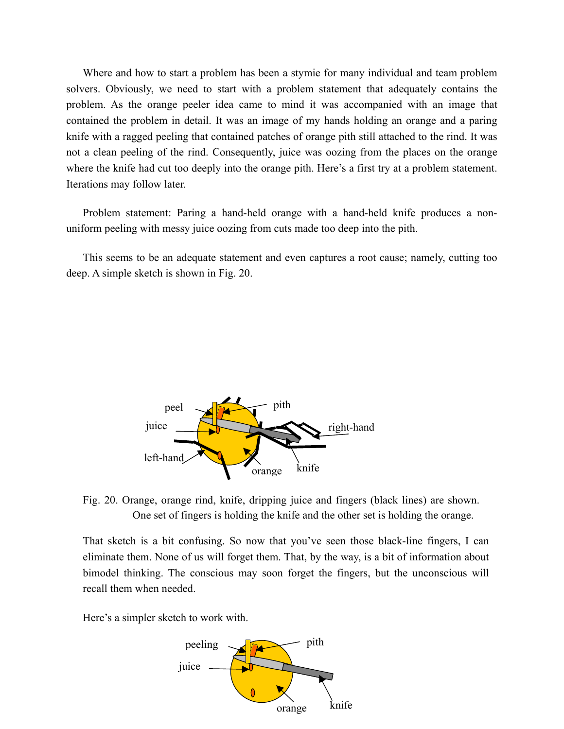Where and how to start a problem has been a stymie for many individual and team problem solvers. Obviously, we need to start with a problem statement that adequately contains the problem. As the orange peeler idea came to mind it was accompanied with an image that contained the problem in detail. It was an image of my hands holding an orange and a paring knife with a ragged peeling that contained patches of orange pith still attached to the rind. It was not a clean peeling of the rind. Consequently, juice was oozing from the places on the orange where the knife had cut too deeply into the orange pith. Here's a first try at a problem statement. Iterations may follow later.

Problem statement: Paring a hand-held orange with a hand-held knife produces a nonuniform peeling with messy juice oozing from cuts made too deep into the pith.

This seems to be an adequate statement and even captures a root cause; namely, cutting too deep. A simple sketch is shown in Fig. 20.



Fig. 20. Orange, orange rind, knife, dripping juice and fingers (black lines) are shown. One set of fingers is holding the knife and the other set is holding the orange.

That sketch is a bit confusing. So now that you've seen those black-line fingers, I can eliminate them. None of us will forget them. That, by the way, is a bit of information about bimodel thinking. The conscious may soon forget the fingers, but the unconscious will recall them when needed.

Here's a simpler sketch to work with.

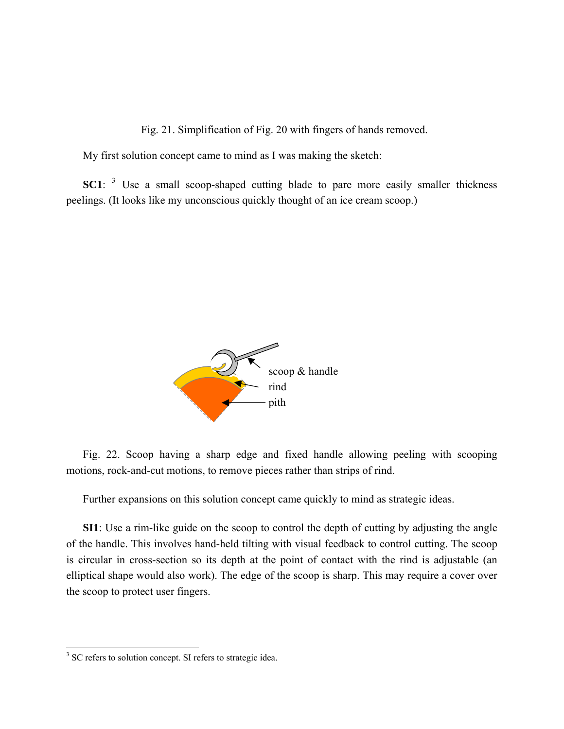F ig. 21. Simplification of Fig. 20 with fingers of hands removed.

My first solution concept came to mind as I was making the sketch:

**SC1**: <sup>[3](#page-36-0)</sup> Use a small scoop-shaped cutting blade to pare more easily smaller thickness peelings. (It looks like my unconscious quickly thought of an ice cream scoop.)



Fig. 22. Scoop having a sharp edge and fixed handle allowing peeling with scooping motions, rock-and-cut motions, to remove pieces rather than strips of rind.

Further expansions on this solution concept came quickly to mind as strategic ideas.

**SI1**: Use a rim-like guide on the scoop to control the depth of cutting by adjusting the angle of the handle. This involves hand-held tilting with visual feedback to control cutting. The scoop is circular in cross-section so its depth at the point of contact with the rind is adjustable (an elliptical shape would also work). The edge of the scoop is sharp. This may require a cover over the scoop to protect user fingers.

<span id="page-36-0"></span><sup>&</sup>lt;sup>3</sup> SC refers to solution concept. SI refers to strategic idea.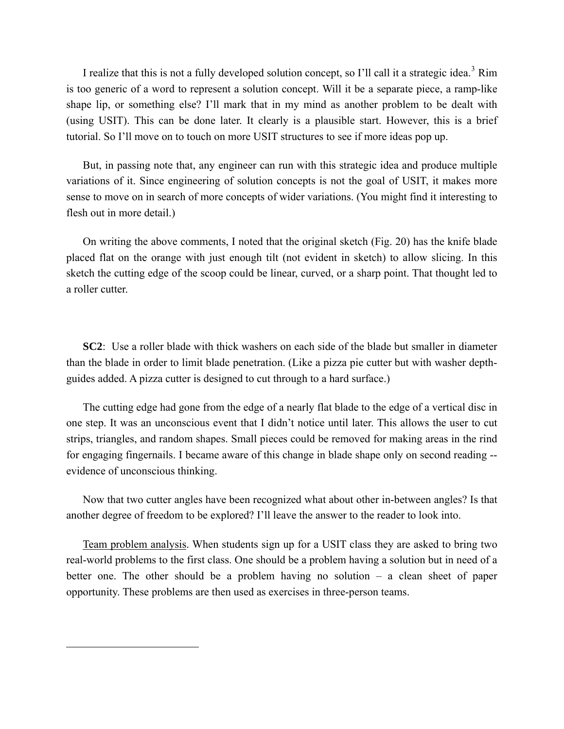I realize that this is not a fully developed solution concept, so I'll call it a strategic idea.<sup>[3](#page-37-0)</sup> Rim is too generic of a word to represent a solution concept. Will it be a separate piece, a ramp-like shape lip, or something else? I'll mark that in my mind as another problem to be dealt with (using USIT). This can be done later. It clearly is a plausible start. However, this is a brief tutorial. So I'll move on to touch on more USIT structures to see if more ideas pop up.

But, in passing note that, any engineer can run with this strategic idea and produce multiple variations of it. Since engineering of solution concepts is not the goal of USIT, it makes more sense to move on in search of more concepts of wider variations. (You might find it interesting to flesh out in more detail.)

On writing the above comments, I noted that the original sketch (Fig. 20) has the knife blade placed flat on the orange with just enough tilt (not evident in sketch) to allow slicing. In this sketch the cutting edge of the scoop could be linear, curved, or a sharp point. That thought led to a roller cutter.

**SC2**: Use a roller blade with thick washers on each side of the blade but smaller in diameter than the blade in order to limit blade penetration. (Like a pizza pie cutter but with washer depthguides added. A pizza cutter is designed to cut through to a hard surface.)

The cutting edge had gone from the edge of a nearly flat blade to the edge of a vertical disc in one step. It was an unconscious event that I didn't notice until later. This allows the user to cut strips, triangles, and random shapes. Small pieces could be removed for making areas in the rind for engaging fingernails. I became aware of this change in blade shape only on second reading - evidence of unconscious thinking.

Now that two cutter angles have been recognized what about other in-between angles? Is that another degree of freedom to be explored? I'll leave the answer to the reader to look into.

Team problem analysis. When students sign up for a USIT class they are asked to bring two real-world problems to the first class. One should be a problem having a solution but in need of a better one. The other should be a problem having no solution – a clean sheet of paper opportunity. These problems are then used as exercises in three-person teams.

<span id="page-37-0"></span> $\overline{a}$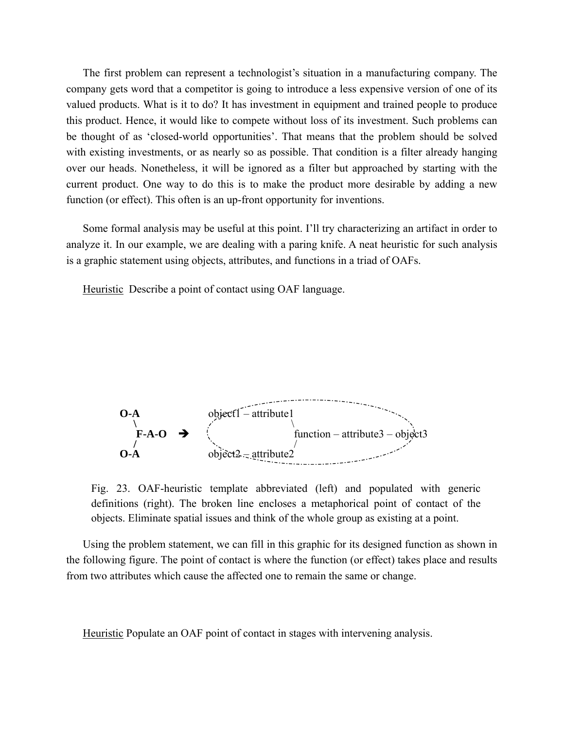The first problem can represent a technologist's situation in a manufacturing company. The company gets word that a competitor is going to introduce a less expensive version of one of its valued products. What is it to do? It has investment in equipment and trained people to produce this product. Hence, it would like to compete without loss of its investment. Such problems can be thought of as 'closed-world opportunities'. That means that the problem should be solved with existing investments, or as nearly so as possible. That condition is a filter already hanging over our heads. Nonetheless, it will be ignored as a filter but approached by starting with the current product. One way to do this is to make the product more desirable by adding a new function (or effect). This often is an up-front opportunity for inventions.

Some formal analysis may be useful at this point. I'll try characterizing an artifact in order to analyze it. In our example, we are dealing with a paring knife. A neat heuristic for such analysis is a graphic statement using objects, attributes, and functions in a triad of OAFs.

Heuristic Describe a point of contact using OAF language.



Fig. 23. OAF-heuristic template abbreviated (left) and populated with generic definitions (right). The broken line encloses a metaphorical point of contact of the objects. Eliminate spatial issues and think of the whole group as existing at a point.

Using the problem statement, we can fill in this graphic for its designed function as shown in the following figure. The point of contact is where the function (or effect) takes place and results from two attributes which cause the affected one to remain the same or change.

Heuristic Populate an OAF point of contact in stages with intervening analysis.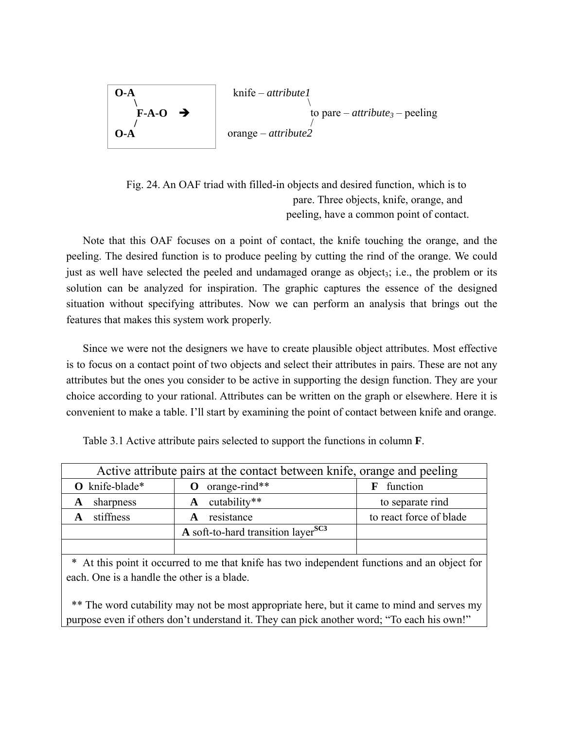

Fig. 24. An OAF triad with filled-in objects and desired function, which is to pare. Three objects, knife, orange, and peeling, have a common point of contact.

Note that this OAF focuses on a point of contact, the knife touching the orange, and the peeling. The desired function is to produce peeling by cutting the rind of the orange. We could just as well have selected the peeled and undamaged orange as object<sub>3</sub>; i.e., the problem or its solution can be analyzed for inspiration. The graphic captures the essence of the designed situation without specifying attributes. Now we can perform an analysis that brings out the features that makes this system work properly.

Since we were not the designers we have to create plausible object attributes. Most effective is to focus on a contact point of two objects and select their attributes in pairs. These are not any attributes but the ones you consider to be active in supporting the design function. They are your choice according to your rational. Attributes can be written on the graph or elsewhere. Here it is convenient to make a table. I'll start by examining the point of contact between knife and orange.

| Table 3.1 Active attribute pairs selected to support the functions in column $\mathbf{F}$ . |  |  |
|---------------------------------------------------------------------------------------------|--|--|
|                                                                                             |  |  |

| Active attribute pairs at the contact between knife, orange and peeling |                                                |                         |  |  |  |  |
|-------------------------------------------------------------------------|------------------------------------------------|-------------------------|--|--|--|--|
| O knife-blade*                                                          | orange-rind**<br>o                             | function<br>F           |  |  |  |  |
| sharpness                                                               | $\mathbf{A}$ cutability**                      | to separate rind        |  |  |  |  |
| stiffness                                                               | resistance                                     | to react force of blade |  |  |  |  |
|                                                                         | A soft-to-hard transition layer <sup>SC3</sup> |                         |  |  |  |  |
|                                                                         |                                                |                         |  |  |  |  |

\* At this point it occurred to me that knife has two independent functions and an object for each. One is a handle the other is a blade.

\*\* The word cutability may not be most appropriate here, but it came to mind and serves my purpose even if others don't understand it. They can pick another word; "To each his own!"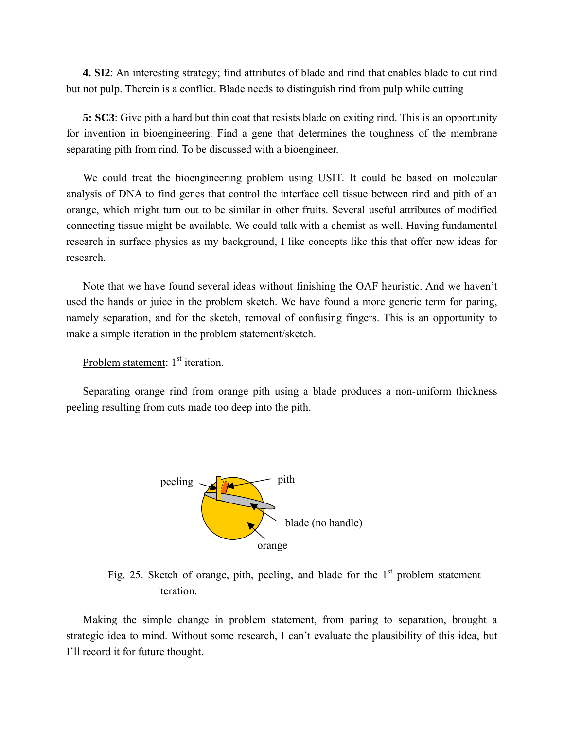**4. SI2**: An interesting strategy; find attributes of blade and rind that enables blade to cut rind but not pulp. Therein is a conflict. Blade needs to distinguish rind from pulp while cutting

**5: SC3**: Give pith a hard but thin coat that resists blade on exiting rind. This is an opportunity for invention in bioengineering. Find a gene that determines the toughness of the membrane separating pith from rind. To be discussed with a bioengineer.

We could treat the bioengineering problem using USIT. It could be based on molecular analysis of DNA to find genes that control the interface cell tissue between rind and pith of an orange, which might turn out to be similar in other fruits. Several useful attributes of modified connecting tissue might be available. We could talk with a chemist as well. Having fundamental research in surface physics as my background, I like concepts like this that offer new ideas for research.

Note that we have found several ideas without finishing the OAF heuristic. And we haven't used the hands or juice in the problem sketch. We have found a more generic term for paring, namely separation, and for the sketch, removal of confusing fingers. This is an opportunity to make a simple iteration in the problem statement/sketch.

Problem statement: 1<sup>st</sup> iteration.

Separating orange rind from orange pith using a blade produces a non-uniform thickness peeling resulting from cuts made too deep into the pith.



Fig. 25. Sketch of orange, pith, peeling, and blade for the  $1<sup>st</sup>$  problem statement iteration.

Making the simple change in problem statement, from paring to separation, brought a strategic idea to mind. Without some research, I can't evaluate the plausibility of this idea, but I'll record it for future thought.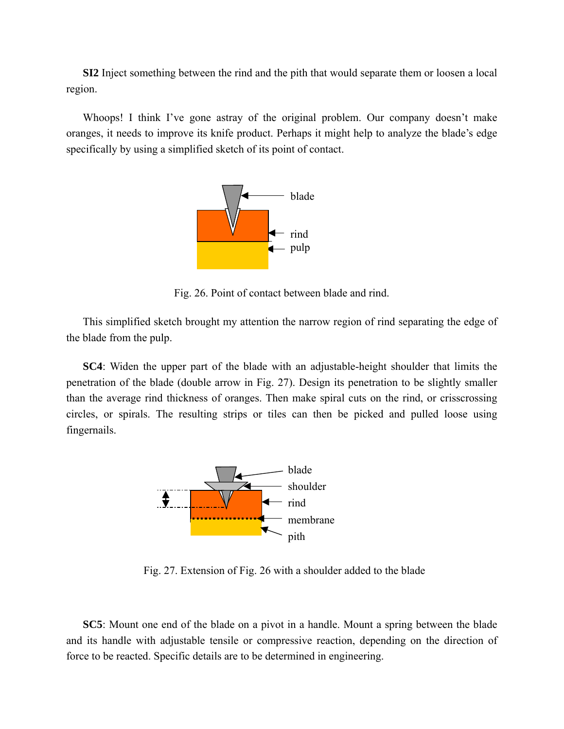**SI2** Inject something between the rind and the pith that would separate them or loosen a local region.

Whoops! I think I've gone astray of the original problem. Our company doesn't make oranges, it needs to improve its knife product. Perhaps it might help to analyze the blade's edge specifically by using a simplified sketch of its point of contact.



Fig. 26. Point of contact between blade and rind.

This simplified sketch brought my attention the narrow region of rind separating the edge of the blade from the pulp.

**SC4**: Widen the upper part of the blade with an adjustable-height shoulder that limits the penetration of the blade (double arrow in Fig. 27). Design its penetration to be slightly smaller than the average rind thickness of oranges. Then make spiral cuts on the rind, or crisscrossing circles, or spirals. The resulting strips or tiles can then be picked and pulled loose using fingernails.



F ig. 27. Extension of Fig. 26 with a shoulder added to the blade

**SC5**: Mount one end of the blade on a pivot in a handle. Mount a spring between the blade and its handle with adjustable tensile or compressive reaction, depending on the direction of force to be reacted. Specific details are to be determined in engineering.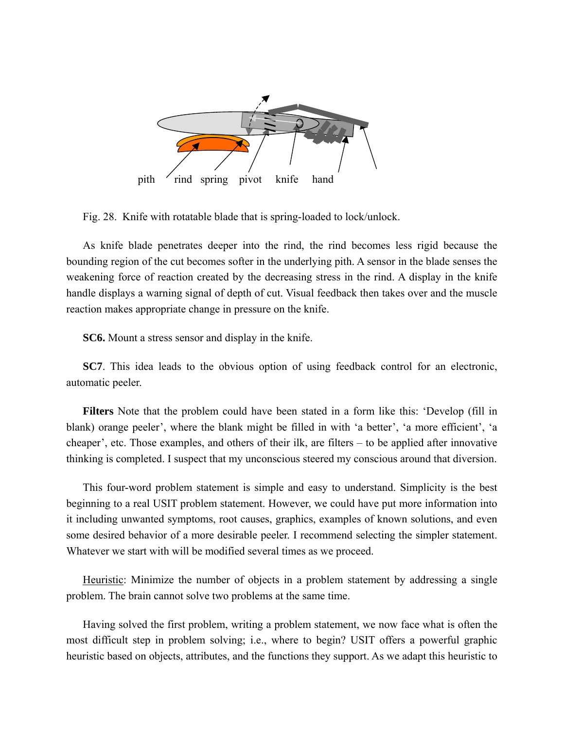

Fig. 28. Knife with rotatable blade that is spring-loaded to lock/unlock.

As knife blade penetrates deeper into the rind, the rind becomes less rigid because the bounding region of the cut becomes softer in the underlying pith. A sensor in the blade senses the weakening force of reaction created by the decreasing stress in the rind. A display in the knife handle displays a warning signal of depth of cut. Visual feedback then takes over and the muscle reaction makes appropriate change in pressure on the knife.

**SC6.** Mount a stress sensor and display in the knife.

**SC7**. This idea leads to the obvious option of using feedback control for an electronic, automatic peeler.

**Filters** Note that the problem could have been stated in a form like this: 'Develop (fill in blank) orange peeler', where the blank might be filled in with 'a better', 'a more efficient', 'a cheaper', etc. Those examples, and others of their ilk, are filters – to be applied after innovative thinking is completed. I suspect that my unconscious steered my conscious around that diversion.

This four-word problem statement is simple and easy to understand. Simplicity is the best beginning to a real USIT problem statement. However, we could have put more information into it including unwanted symptoms, root causes, graphics, examples of known solutions, and even some desired behavior of a more desirable peeler. I recommend selecting the simpler statement. Whatever we start with will be modified several times as we proceed.

Heuristic: Minimize the number of objects in a problem statement by addressing a single problem. The brain cannot solve two problems at the same time.

Having solved the first problem, writing a problem statement, we now face what is often the most difficult step in problem solving; i.e., where to begin? USIT offers a powerful graphic heuristic based on objects, attributes, and the functions they support. As we adapt this heuristic to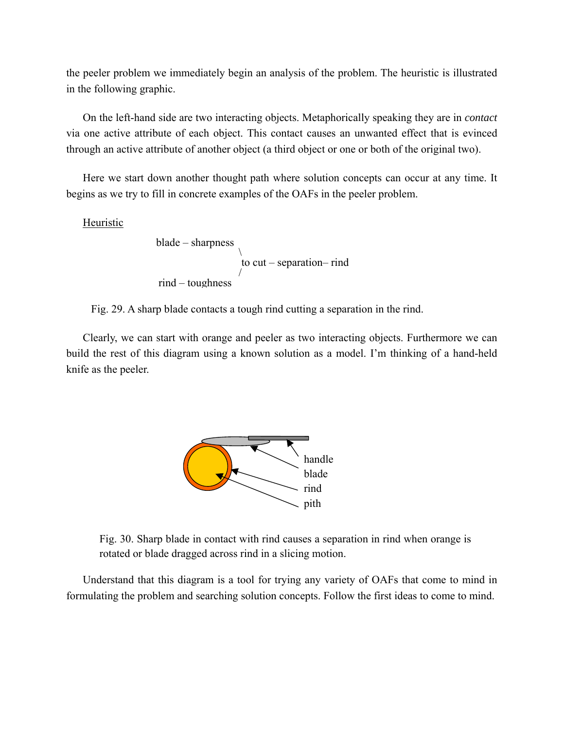the peeler problem we immediately begin an analysis of the problem. The heuristic is illustrated in the following graphic.

On the left-hand side are two interacting objects. Metaphorically speaking they are in *contact* via one active attribute of each object. This contact causes an unwanted effect that is evinced through an active attribute of another object (a third object or one or both of the original two).

Here we start down another thought path where solution concepts can occur at any time. It begins as we try to fill in concrete examples of the OAFs in the peeler problem.

Heuristic

 blade – sharpness \ to cut – separation– rind / rind – toughness

Fig. 29. A sharp blade contacts a tough rind cutting a separation in the rind.

Clearly, we can start with orange and peeler as two interacting objects. Furthermore we can build the rest of this diagram using a known solution as a model. I'm thinking of a hand-held knife as the peeler.



Fig. 30. Sharp blade in contact with rind causes a separation in rind when orange is rotated or blade dragged across rind in a slicing motion.

Understand that this diagram is a tool for trying any variety of OAFs that come to mind in formulating the problem and searching solution concepts. Follow the first ideas to come to mind.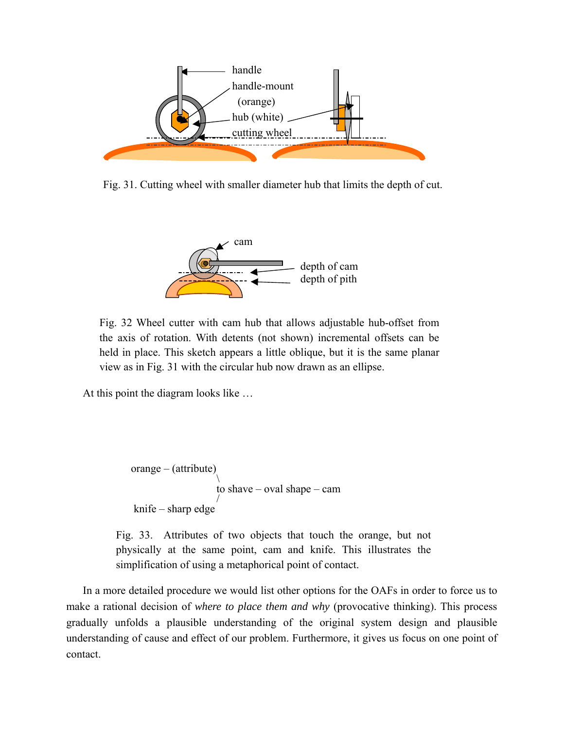

Fig. 31. Cutting wheel with smaller diameter hub that limits the depth of cut.



Fig. 32 Wheel cutter with cam hub that allows adjustable hub-offset from the axis of rotation. With detents (not shown) incremental offsets can be held in place. This sketch appears a little oblique, but it is the same planar view as in Fig. 31 with the circular hub now drawn as an ellipse.

At this point the diagram looks like …

```
orange – (attribute) 
       \mathcal{L} to shave – oval shape – cam
        / 
 knife – sharp edge
```
Fig. 33. Attributes of two objects that touch the orange, but not physically at the same point, cam and knife. This illustrates the simplification of using a metaphorical point of contact.

In a more detailed procedure we would list other options for the OAFs in order to force us to make a rational decision of *where to place them and why* (provocative thinking). This process gradually unfolds a plausible understanding of the original system design and plausible understanding of cause and effect of our problem. Furthermore, it gives us focus on one point of contact.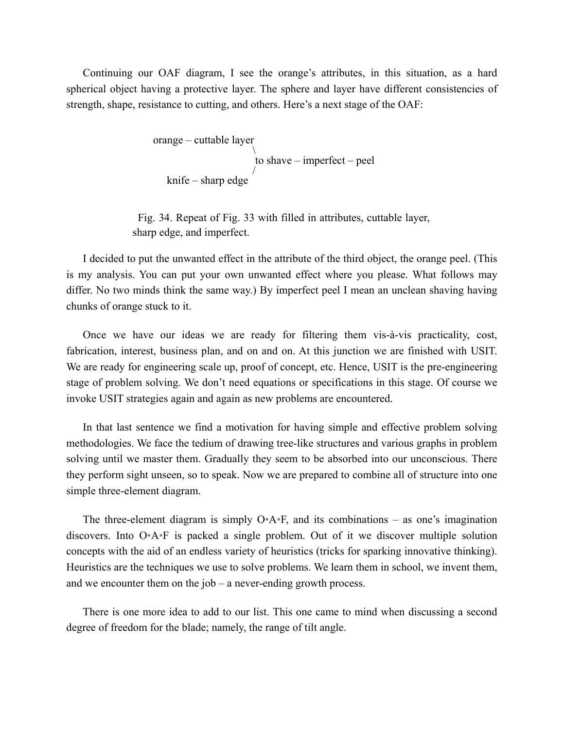Continuing our OAF diagram, I see the orange's attributes, in this situation, as a hard spherical object having a protective layer. The sphere and layer have different consistencies of strength, shape, resistance to cutting, and others. Here's a next stage of the OAF:

```
 orange – cuttable layer
\sim \sim \sim \sim \sim \sim to shave – imperfect – peel 
 / 
    knife – sharp edge
```
Fi g. 34. Repeat of Fig. 33 with filled in attributes, cuttable layer, sharp edge, and imperfect.

I decided to put the unwanted effect in the attribute of the third object, the orange peel. (This is my analysis. You can put your own unwanted effect where you please. What follows may differ. No two minds think the same way.) By imperfect peel I mean an unclean shaving having chunks of orange stuck to it.

Once we have our ideas we are ready for filtering them vis-à-vis practicality, cost, fabrication, interest, business plan, and on and on. At this junction we are finished with USIT. We are ready for engineering scale up, proof of concept, etc. Hence, USIT is the pre-engineering stage of problem solving. We don't need equations or specifications in this stage. Of course we invoke USIT strategies again and again as new problems are encountered.

In that last sentence we find a motivation for having simple and effective problem solving methodologies. We face the tedium of drawing tree-like structures and various graphs in problem solving until we master them. Gradually they seem to be absorbed into our unconscious. There they perform sight unseen, so to speak. Now we are prepared to combine all of structure into one simple three-element diagram.

The three-element diagram is simply  $O^*A^*F$ , and its combinations – as one's imagination discovers. Into O•A•F is packed a single problem. Out of it we discover multiple solution concepts with the aid of an endless variety of heuristics (tricks for sparking innovative thinking). Heuristics are the techniques we use to solve problems. We learn them in school, we invent them, and we encounter them on the job – a never-ending growth process.

There is one more idea to add to our list. This one came to mind when discussing a second degree of freedom for the blade; namely, the range of tilt angle.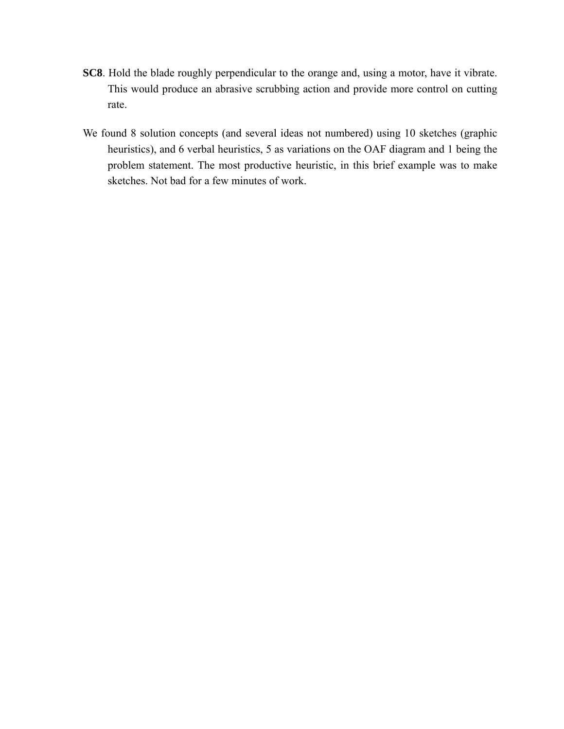- **SC8**. Hold the blade roughly perpendicular to the orange and, using a motor, have it vibrate. This would produce an abrasive scrubbing action and provide more control on cutting rate.
- We found 8 solution concepts (and several ideas not numbered) using 10 sketches (graphic heuristics), and 6 verbal heuristics, 5 as variations on the OAF diagram and 1 being the problem statement. The most productive heuristic, in this brief example was to make sketches. Not bad for a few minutes of work.